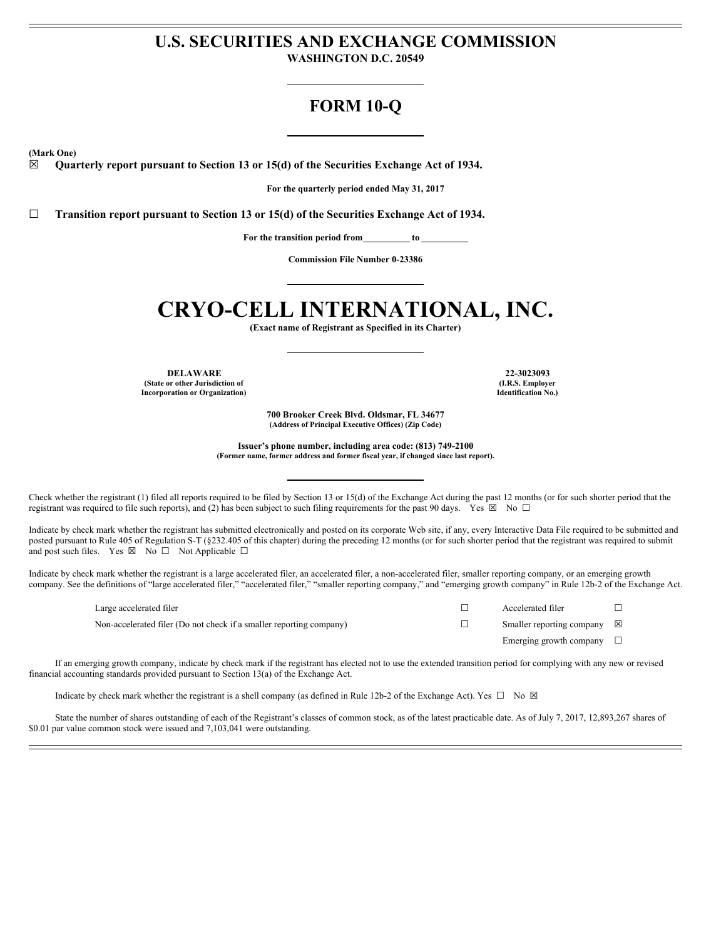# **U.S. SECURITIES AND EXCHANGE COMMISSION**

**WASHINGTON D.C. 20549**

# **FORM 10-Q**

**(Mark One)**

☒ **Quarterly report pursuant to Section 13 or 15(d) of the Securities Exchange Act of 1934.**

**For the quarterly period ended May 31, 2017**

☐ **Transition report pursuant to Section 13 or 15(d) of the Securities Exchange Act of 1934.**

**For the transition period from to**

**Commission File Number 0-23386**

# **CRYO-CELL INTERNATIONAL, INC.**

**(Exact name of Registrant as Specified in its Charter)**

**DELAWARE 22-3023093 (State or other Jurisdiction of Incorporation or Organization)**

**(I.R.S. Employer Identification No.)**

**700 Brooker Creek Blvd. Oldsmar, FL 34677 (Address of Principal Executive Offices) (Zip Code)**

**Issuer's phone number, including area code: (813) 749-2100 (Former name, former address and former fiscal year, if changed since last report).**

Check whether the registrant (1) filed all reports required to be filed by Section 13 or 15(d) of the Exchange Act during the past 12 months (or for such shorter period that the registrant was required to file such reports), and (2) has been subject to such filing requirements for the past 90 days. Yes  $\boxtimes$  No  $\Box$ 

Indicate by check mark whether the registrant has submitted electronically and posted on its corporate Web site, if any, every Interactive Data File required to be submitted and posted pursuant to Rule 405 of Regulation S-T (§232.405 of this chapter) during the preceding 12 months (or for such shorter period that the registrant was required to submit and post such files. Yes  $\boxtimes$  No  $\Box$  Not Applicable  $\Box$ 

Indicate by check mark whether the registrant is a large accelerated filer, an accelerated filer, a non-accelerated filer, smaller reporting company, or an emerging growth company. See the definitions of "large accelerated filer," "accelerated filer," "smaller reporting company," and "emerging growth company" in Rule 12b-2 of the Exchange Act.

Large accelerated filer ☐ Accelerated filer ☐ Non-accelerated filer (Do not check if a smaller reporting company) □ Smaller reporting company ⊠

Emerging growth company  $\Box$ 

If an emerging growth company, indicate by check mark if the registrant has elected not to use the extended transition period for complying with any new or revised financial accounting standards provided pursuant to Section 13(a) of the Exchange Act.

Indicate by check mark whether the registrant is a shell company (as defined in Rule 12b-2 of the Exchange Act). Yes  $\Box$  No  $\boxtimes$ 

State the number of shares outstanding of each of the Registrant's classes of common stock, as of the latest practicable date. As of July 7, 2017, 12,893,267 shares of \$0.01 par value common stock were issued and 7,103,041 were outstanding.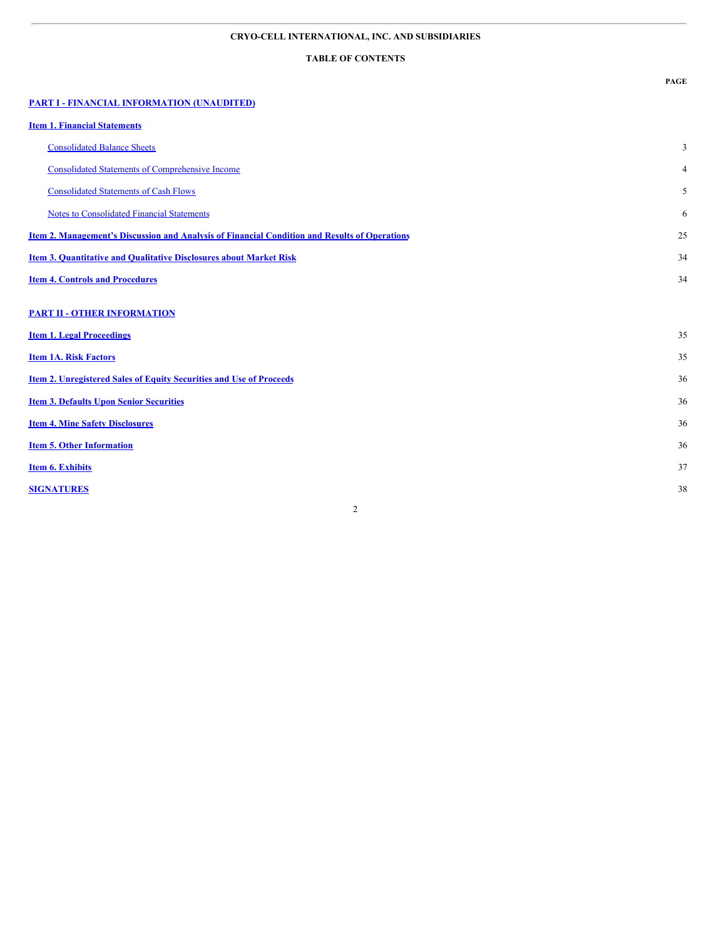# **CRYO-CELL INTERNATIONAL, INC. AND SUBSIDIARIES**

# **TABLE OF CONTENTS**

| <b>PART I - FINANCIAL INFORMATION (UNAUDITED)</b>                                                    |    |
|------------------------------------------------------------------------------------------------------|----|
| <b>Item 1. Financial Statements</b>                                                                  |    |
| <b>Consolidated Balance Sheets</b>                                                                   | 3  |
| <b>Consolidated Statements of Comprehensive Income</b>                                               | 4  |
| <b>Consolidated Statements of Cash Flows</b>                                                         | 5  |
| <b>Notes to Consolidated Financial Statements</b>                                                    | 6  |
| <b>Item 2. Management's Discussion and Analysis of Financial Condition and Results of Operations</b> | 25 |
| <b>Item 3. Quantitative and Qualitative Disclosures about Market Risk</b>                            | 34 |
| <b>Item 4. Controls and Procedures</b>                                                               | 34 |
| <b>PART II - OTHER INFORMATION</b>                                                                   |    |
| <b>Item 1. Legal Proceedings</b>                                                                     | 35 |
| <b>Item 1A. Risk Factors</b>                                                                         | 35 |
| <b>Item 2. Unregistered Sales of Equity Securities and Use of Proceeds</b>                           | 36 |
| <b>Item 3. Defaults Upon Senior Securities</b>                                                       | 36 |
| <b>Item 4. Mine Safety Disclosures</b>                                                               | 36 |
| <b>Item 5. Other Information</b>                                                                     | 36 |
| <b>Item 6. Exhibits</b>                                                                              | 37 |
| <b>SIGNATURES</b>                                                                                    | 38 |

# 2

**PAGE**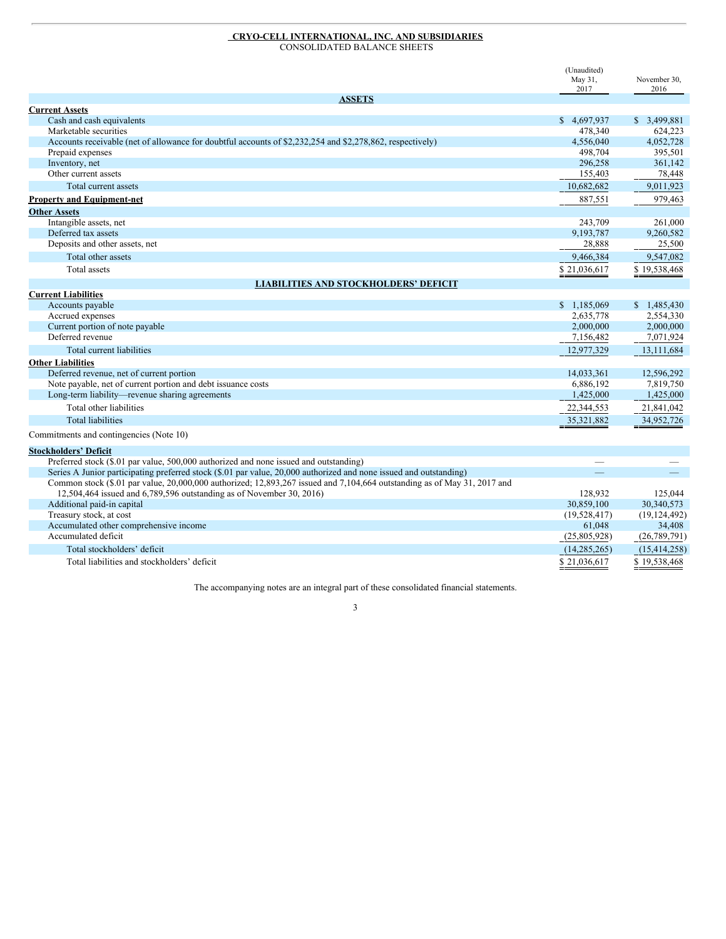#### <span id="page-2-2"></span><span id="page-2-1"></span><span id="page-2-0"></span>**CRYO-CELL INTERNATIONAL, INC. AND SUBSIDIARIES** CONSOLIDATED BALANCE SHEETS

|                                                                                                                          | (Unaudited)<br>May 31,<br>2017 | November 30,<br>2016 |
|--------------------------------------------------------------------------------------------------------------------------|--------------------------------|----------------------|
| <b>ASSETS</b>                                                                                                            |                                |                      |
| <b>Current Assets</b>                                                                                                    |                                |                      |
| Cash and cash equivalents                                                                                                | \$4,697,937                    | \$ 3,499,881         |
| Marketable securities                                                                                                    | 478,340                        | 624.223              |
| Accounts receivable (net of allowance for doubtful accounts of \$2,232,254 and \$2,278,862, respectively)                | 4,556,040                      | 4,052,728            |
| Prepaid expenses                                                                                                         | 498,704                        | 395,501              |
| Inventory, net                                                                                                           | 296,258                        | 361,142              |
| Other current assets                                                                                                     | 155,403                        | 78,448               |
| Total current assets                                                                                                     | 10,682,682                     | 9,011,923            |
| <b>Property and Equipment-net</b>                                                                                        | 887,551                        | 979,463              |
| <b>Other Assets</b>                                                                                                      |                                |                      |
| Intangible assets, net                                                                                                   | 243.709                        | 261.000              |
| Deferred tax assets                                                                                                      | 9,193,787                      | 9,260,582            |
| Deposits and other assets, net                                                                                           | 28,888                         | 25,500               |
| Total other assets                                                                                                       | 9,466,384                      | 9,547,082            |
| <b>Total</b> assets                                                                                                      | \$21,036,617                   | \$19,538,468         |
| <b>LIABILITIES AND STOCKHOLDERS' DEFICIT</b>                                                                             |                                |                      |
| <b>Current Liabilities</b>                                                                                               |                                |                      |
| Accounts payable                                                                                                         | \$1,185,069                    | \$1,485,430          |
| Accrued expenses                                                                                                         | 2,635,778                      | 2,554,330            |
| Current portion of note payable                                                                                          | 2,000,000                      | 2,000,000            |
| Deferred revenue                                                                                                         | 7,156,482                      | 7,071,924            |
| Total current liabilities                                                                                                | 12,977,329                     | 13,111,684           |
| <b>Other Liabilities</b>                                                                                                 |                                |                      |
| Deferred revenue, net of current portion                                                                                 | 14,033,361                     | 12,596,292           |
| Note payable, net of current portion and debt issuance costs                                                             | 6,886,192                      | 7,819,750            |
| Long-term liability—revenue sharing agreements                                                                           | 1,425,000                      | 1,425,000            |
| Total other liabilities                                                                                                  | 22,344,553                     | 21,841,042           |
| <b>Total liabilities</b>                                                                                                 | 35,321,882                     | 34,952,726           |
| Commitments and contingencies (Note 10)                                                                                  |                                |                      |
| <b>Stockholders' Deficit</b>                                                                                             |                                |                      |
| Preferred stock (\$.01 par value, 500,000 authorized and none issued and outstanding)                                    |                                |                      |
| Series A Junior participating preferred stock (\$.01 par value, 20,000 authorized and none issued and outstanding)       |                                |                      |
| Common stock (\$.01 par value, 20,000,000 authorized; 12,893,267 issued and 7,104,664 outstanding as of May 31, 2017 and |                                |                      |
| 12,504,464 issued and 6,789,596 outstanding as of November 30, 2016)                                                     | 128,932                        | 125,044              |
| Additional paid-in capital                                                                                               | 30,859,100                     | 30,340,573           |
| Treasury stock, at cost                                                                                                  | (19, 528, 417)                 | (19, 124, 492)       |
| Accumulated other comprehensive income                                                                                   | 61,048                         | 34,408               |
| Accumulated deficit                                                                                                      | (25,805,928)                   | (26, 789, 791)       |
| Total stockholders' deficit                                                                                              | (14, 285, 265)                 | (15, 414, 258)       |
| Total liabilities and stockholders' deficit                                                                              | \$21,036,617                   | \$19.538,468         |

The accompanying notes are an integral part of these consolidated financial statements.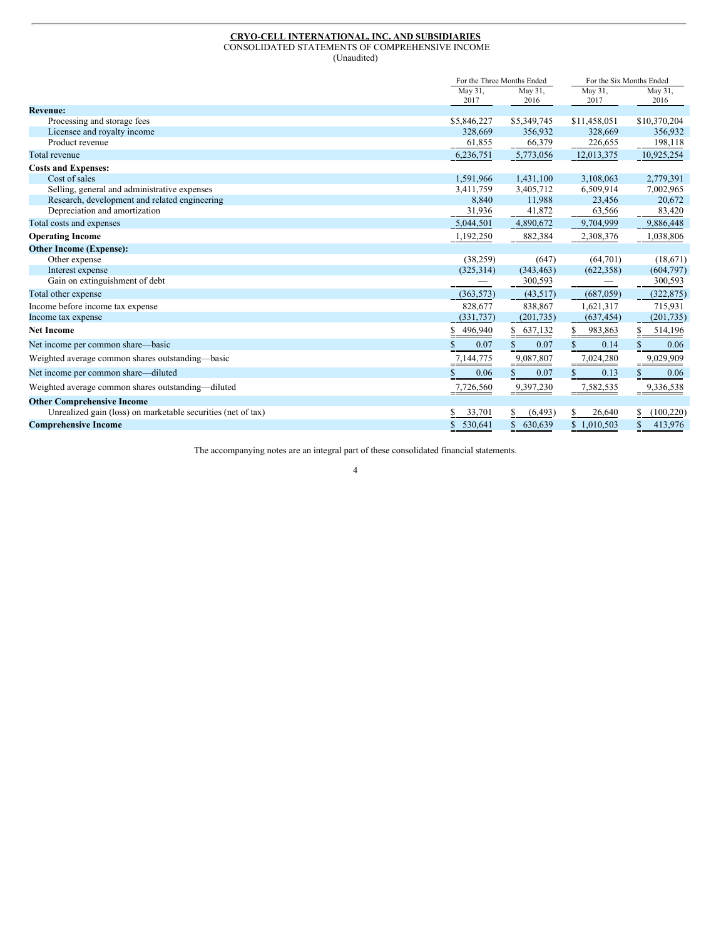#### <span id="page-3-0"></span>**CRYO-CELL INTERNATIONAL, INC. AND SUBSIDIARIES** CONSOLIDATED STATEMENTS OF COMPREHENSIVE INCOME (Unaudited)

|                                                              |                 | For the Three Months Ended |                 | For the Six Months Ended |  |
|--------------------------------------------------------------|-----------------|----------------------------|-----------------|--------------------------|--|
|                                                              | May 31,<br>2017 | May 31,<br>2016            | May 31,<br>2017 | May 31,<br>2016          |  |
| <b>Revenue:</b>                                              |                 |                            |                 |                          |  |
| Processing and storage fees                                  | \$5,846,227     | \$5,349,745                | \$11,458,051    | \$10,370,204             |  |
| Licensee and royalty income                                  | 328,669         | 356,932                    | 328,669         | 356,932                  |  |
| Product revenue                                              | 61,855          | 66,379                     | 226,655         | 198,118                  |  |
| Total revenue                                                | 6,236,751       | 5,773,056                  | 12,013,375      | 10,925,254               |  |
| <b>Costs and Expenses:</b>                                   |                 |                            |                 |                          |  |
| Cost of sales                                                | 1,591,966       | 1,431,100                  | 3,108,063       | 2,779,391                |  |
| Selling, general and administrative expenses                 | 3,411,759       | 3,405,712                  | 6,509,914       | 7,002,965                |  |
| Research, development and related engineering                | 8,840           | 11,988                     | 23,456          | 20,672                   |  |
| Depreciation and amortization                                | 31,936          | 41,872                     | 63,566          | 83,420                   |  |
| Total costs and expenses                                     | 5,044,501       | 4,890,672                  | 9,704,999       | 9,886,448                |  |
| <b>Operating Income</b>                                      | 1,192,250       | 882,384                    | 2,308,376       | 1,038,806                |  |
| <b>Other Income (Expense):</b>                               |                 |                            |                 |                          |  |
| Other expense                                                | (38, 259)       | (647)                      | (64,701)        | (18,671)                 |  |
| Interest expense                                             | (325, 314)      | (343, 463)                 | (622, 358)      | (604, 797)               |  |
| Gain on extinguishment of debt                               |                 | 300,593                    |                 | 300,593                  |  |
| Total other expense                                          | (363, 573)      | (43, 517)                  | (687,059)       | (322, 875)               |  |
| Income before income tax expense                             | 828,677         | 838,867                    | 1,621,317       | 715,931                  |  |
| Income tax expense                                           | (331, 737)      | (201, 735)                 | (637, 454)      | (201, 735)               |  |
| <b>Net Income</b>                                            | S<br>496,940    | 637,132<br>$\frac{1}{2}$   | \$<br>983,863   | 514,196<br>S             |  |
| Net income per common share—basic                            | 0.07            | \$<br>0.07                 | 0.14            | 0.06                     |  |
| Weighted average common shares outstanding—basic             | 7,144,775       | 9,087,807                  | 7,024,280       | 9,029,909                |  |
| Net income per common share—diluted                          | 0.06            | \$<br>0.07                 | 0.13<br>\$      | \$<br>0.06               |  |
| Weighted average common shares outstanding—diluted           | 7,726,560       | 9,397,230                  | 7,582,535       | 9,336,538                |  |
| <b>Other Comprehensive Income</b>                            |                 |                            |                 |                          |  |
| Unrealized gain (loss) on marketable securities (net of tax) | 33,701          | (6, 493)                   | 26,640          | (100, 220)               |  |
| <b>Comprehensive Income</b>                                  | \$<br>530.641   | \$<br>630,639              | \$1,010,503     | 413,976<br>\$            |  |

The accompanying notes are an integral part of these consolidated financial statements.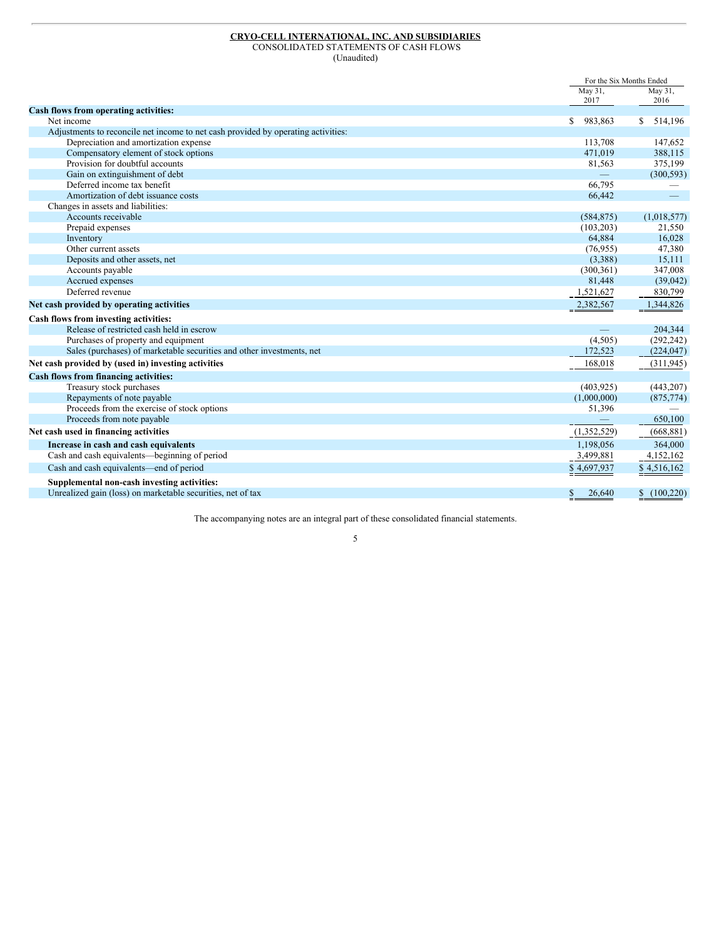#### <span id="page-4-0"></span>**CRYO-CELL INTERNATIONAL, INC. AND SUBSIDIARIES** CONSOLIDATED STATEMENTS OF CASH FLOWS

(Unaudited)

|                                                                                   | For the Six Months Ended |               |
|-----------------------------------------------------------------------------------|--------------------------|---------------|
|                                                                                   | May 31,                  | May 31,       |
|                                                                                   | 2017                     | 2016          |
| Cash flows from operating activities:                                             |                          |               |
| Net income                                                                        | \$<br>983,863            | 514,196<br>S. |
| Adjustments to reconcile net income to net cash provided by operating activities: |                          |               |
| Depreciation and amortization expense                                             | 113,708                  | 147,652       |
| Compensatory element of stock options                                             | 471,019                  | 388,115       |
| Provision for doubtful accounts                                                   | 81,563                   | 375,199       |
| Gain on extinguishment of debt                                                    |                          | (300, 593)    |
| Deferred income tax benefit                                                       | 66.795                   |               |
| Amortization of debt issuance costs                                               | 66,442                   |               |
| Changes in assets and liabilities:                                                |                          |               |
| Accounts receivable                                                               | (584, 875)               | (1,018,577)   |
| Prepaid expenses                                                                  | (103, 203)               | 21,550        |
| Inventory                                                                         | 64,884                   | 16,028        |
| Other current assets                                                              | (76, 955)                | 47,380        |
| Deposits and other assets, net                                                    | (3,388)                  | 15,111        |
| Accounts payable                                                                  | (300, 361)               | 347,008       |
| Accrued expenses                                                                  | 81,448                   | (39,042)      |
| Deferred revenue                                                                  | 1,521,627                | 830,799       |
| Net cash provided by operating activities                                         | 2,382,567                | 1,344,826     |
| Cash flows from investing activities:                                             |                          |               |
| Release of restricted cash held in escrow                                         |                          | 204,344       |
| Purchases of property and equipment                                               | (4,505)                  | (292, 242)    |
| Sales (purchases) of marketable securities and other investments, net             | 172,523                  | (224, 047)    |
| Net cash provided by (used in) investing activities                               | 168,018                  | (311, 945)    |
| Cash flows from financing activities:                                             |                          |               |
| Treasury stock purchases                                                          | (403, 925)               | (443, 207)    |
| Repayments of note payable                                                        | (1,000,000)              | (875, 774)    |
| Proceeds from the exercise of stock options                                       | 51,396                   |               |
| Proceeds from note payable                                                        |                          | 650,100       |
| Net cash used in financing activities                                             | (1,352,529)              | (668, 881)    |
| Increase in cash and cash equivalents                                             | 1,198,056                | 364,000       |
| Cash and cash equivalents—beginning of period                                     | 3,499,881                | 4,152,162     |
| Cash and cash equivalents—end of period                                           | \$4,697,937              | \$4,516,162   |
| Supplemental non-cash investing activities:                                       |                          |               |
| Unrealized gain (loss) on marketable securities, net of tax                       | \$<br>26,640             | \$(100,220)   |
|                                                                                   |                          |               |

The accompanying notes are an integral part of these consolidated financial statements.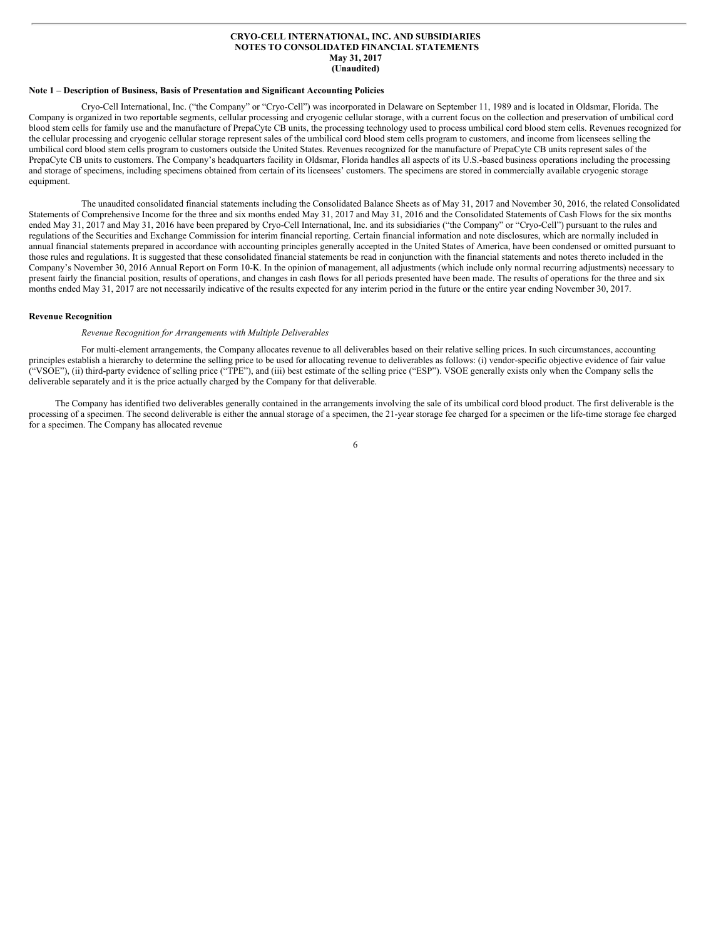#### <span id="page-5-0"></span>**CRYO-CELL INTERNATIONAL, INC. AND SUBSIDIARIES NOTES TO CONSOLIDATED FINANCIAL STATEMENTS May 31, 2017 (Unaudited)**

#### **Note 1 – Description of Business, Basis of Presentation and Significant Accounting Policies**

Cryo-Cell International, Inc. ("the Company" or "Cryo-Cell") was incorporated in Delaware on September 11, 1989 and is located in Oldsmar, Florida. The Company is organized in two reportable segments, cellular processing and cryogenic cellular storage, with a current focus on the collection and preservation of umbilical cord blood stem cells for family use and the manufacture of PrepaCyte CB units, the processing technology used to process umbilical cord blood stem cells. Revenues recognized for the cellular processing and cryogenic cellular storage represent sales of the umbilical cord blood stem cells program to customers, and income from licensees selling the umbilical cord blood stem cells program to customers outside the United States. Revenues recognized for the manufacture of PrepaCyte CB units represent sales of the PrepaCyte CB units to customers. The Company's headquarters facility in Oldsmar, Florida handles all aspects of its U.S.-based business operations including the processing and storage of specimens, including specimens obtained from certain of its licensees' customers. The specimens are stored in commercially available cryogenic storage equipment.

The unaudited consolidated financial statements including the Consolidated Balance Sheets as of May 31, 2017 and November 30, 2016, the related Consolidated Statements of Comprehensive Income for the three and six months ended May 31, 2017 and May 31, 2016 and the Consolidated Statements of Cash Flows for the six months ended May 31, 2017 and May 31, 2016 have been prepared by Cryo-Cell International, Inc. and its subsidiaries ("the Company" or "Cryo-Cell") pursuant to the rules and regulations of the Securities and Exchange Commission for interim financial reporting. Certain financial information and note disclosures, which are normally included in annual financial statements prepared in accordance with accounting principles generally accepted in the United States of America, have been condensed or omitted pursuant to those rules and regulations. It is suggested that these consolidated financial statements be read in conjunction with the financial statements and notes thereto included in the Company's November 30, 2016 Annual Report on Form 10-K. In the opinion of management, all adjustments (which include only normal recurring adjustments) necessary to present fairly the financial position, results of operations, and changes in cash flows for all periods presented have been made. The results of operations for the three and six months ended May 31, 2017 are not necessarily indicative of the results expected for any interim period in the future or the entire year ending November 30, 2017.

#### **Revenue Recognition**

#### *Revenue Recognition for Arrangements with Multiple Deliverables*

For multi-element arrangements, the Company allocates revenue to all deliverables based on their relative selling prices. In such circumstances, accounting principles establish a hierarchy to determine the selling price to be used for allocating revenue to deliverables as follows: (i) vendor-specific objective evidence of fair value  $($ "VSOE"), (ii) third-party evidence of selling price ("TPE"), and (iii) best estimate of the selling price ("ESP"). VSOE generally exists only when the Company sells the deliverable separately and it is the price actually charged by the Company for that deliverable.

The Company has identified two deliverables generally contained in the arrangements involving the sale of its umbilical cord blood product. The first deliverable is the processing of a specimen. The second deliverable is either the annual storage of a specimen, the 21-year storage fee charged for a specimen or the life-time storage fee charged for a specimen. The Company has allocated revenue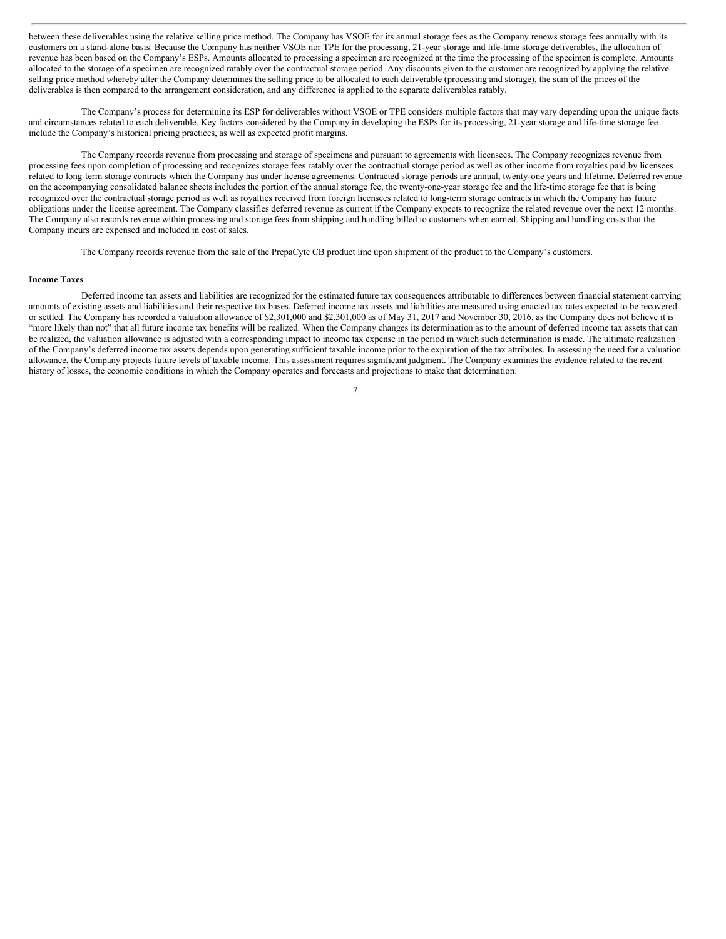between these deliverables using the relative selling price method. The Company has VSOE for its annual storage fees as the Company renews storage fees annually with its customers on a stand-alone basis. Because the Company has neither VSOE nor TPE for the processing, 21-year storage and life-time storage deliverables, the allocation of revenue has been based on the Company's ESPs. Amounts allocated to processing a specimen are recognized at the time the processing of the specimen is complete. Amounts allocated to the storage of a specimen are recognized ratably over the contractual storage period. Any discounts given to the customer are recognized by applying the relative selling price method whereby after the Company determines the selling price to be allocated to each deliverable (processing and storage), the sum of the prices of the deliverables is then compared to the arrangement consideration, and any difference is applied to the separate deliverables ratably.

The Company's process for determining its ESP for deliverables without VSOE or TPE considers multiple factors that may vary depending upon the unique facts and circumstances related to each deliverable. Key factors considered by the Company in developing the ESPs for its processing, 21-year storage and life-time storage fee include the Company's historical pricing practices, as well as expected profit margins.

The Company records revenue from processing and storage of specimens and pursuant to agreements with licensees. The Company recognizes revenue from processing fees upon completion of processing and recognizes storage fees ratably over the contractual storage period as well as other income from royalties paid by licensees related to long-term storage contracts which the Company has under license agreements. Contracted storage periods are annual, twenty-one years and lifetime. Deferred revenue on the accompanying consolidated balance sheets includes the portion of the annual storage fee, the twenty-one-year storage fee and the life-time storage fee that is being recognized over the contractual storage period as well as royalties received from foreign licensees related to long-term storage contracts in which the Company has future obligations under the license agreement. The Company classifies deferred revenue as current if the Company expects to recognize the related revenue over the next 12 months. The Company also records revenue within processing and storage fees from shipping and handling billed to customers when earned. Shipping and handling costs that the Company incurs are expensed and included in cost of sales.

The Company records revenue from the sale of the PrepaCyte CB product line upon shipment of the product to the Company's customers.

#### **Income Taxes**

Deferred income tax assets and liabilities are recognized for the estimated future tax consequences attributable to differences between financial statement carrying amounts of existing assets and liabilities and their respective tax bases. Deferred income tax assets and liabilities are measured using enacted tax rates expected to be recovered or settled. The Company has recorded a valuation allowance of \$2,301,000 and \$2,301,000 as of May 31, 2017 and November 30, 2016, as the Company does not believe it is "more likely than not" that all future income tax benefits will be realized. When the Company changes its determination as to the amount of deferred income tax assets that can be realized, the valuation allowance is adjusted with a corresponding impact to income tax expense in the period in which such determination is made. The ultimate realization of the Company's deferred income tax assets depends upon generating sufficient taxable income prior to the expiration of the tax attributes. In assessing the need for a valuation allowance, the Company projects future levels of taxable income. This assessment requires significant judgment. The Company examines the evidence related to the recent history of losses, the economic conditions in which the Company operates and forecasts and projections to make that determination.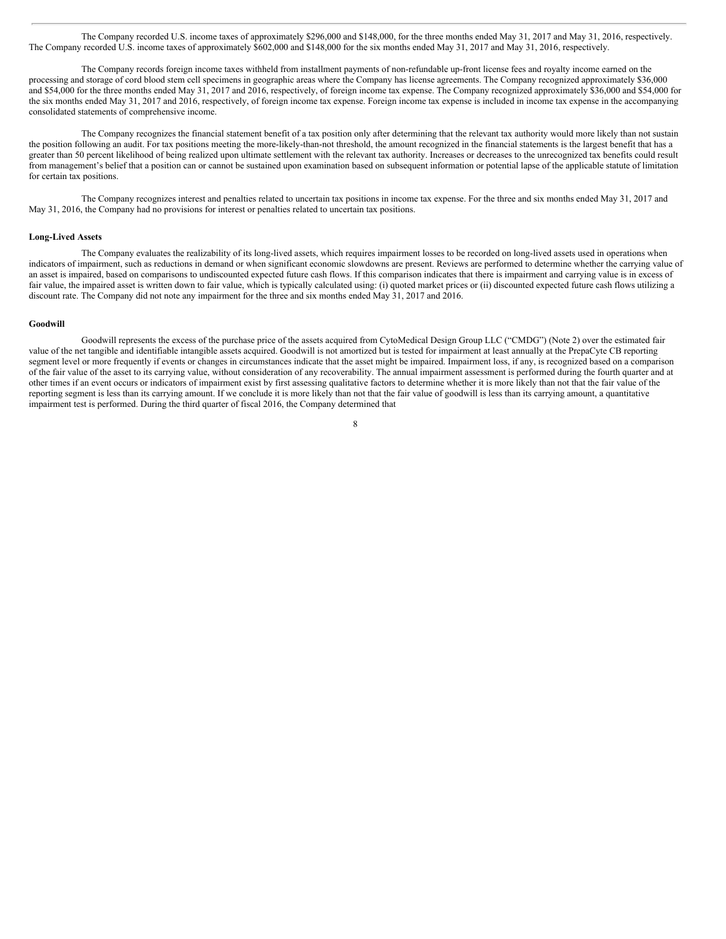The Company recorded U.S. income taxes of approximately \$296,000 and \$148,000, for the three months ended May 31, 2017 and May 31, 2016, respectively. The Company recorded U.S. income taxes of approximately \$602,000 and \$148,000 for the six months ended May 31, 2017 and May 31, 2016, respectively.

The Company records foreign income taxes withheld from installment payments of non-refundable up-front license fees and royalty income earned on the processing and storage of cord blood stem cell specimens in geographic areas where the Company has license agreements. The Company recognized approximately \$36,000 and \$54,000 for the three months ended May 31, 2017 and 2016, respectively, of foreign income tax expense. The Company recognized approximately \$36,000 and \$54,000 for the six months ended May 31, 2017 and 2016, respectively, of foreign income tax expense. Foreign income tax expense is included in income tax expense in the accompanying consolidated statements of comprehensive income.

The Company recognizes the financial statement benefit of a tax position only after determining that the relevant tax authority would more likely than not sustain the position following an audit. For tax positions meeting the more-likely-than-not threshold, the amount recognized in the financial statements is the largest benefit that has a greater than 50 percent likelihood of being realized upon ultimate settlement with the relevant tax authority. Increases or decreases to the unrecognized tax benefits could result from management's belief that a position can or cannot be sustained upon examination based on subsequent information or potential lapse of the applicable statute of limitation for certain tax positions.

The Company recognizes interest and penalties related to uncertain tax positions in income tax expense. For the three and six months ended May 31, 2017 and May 31, 2016, the Company had no provisions for interest or penalties related to uncertain tax positions.

#### **Long-Lived Assets**

The Company evaluates the realizability of its long-lived assets, which requires impairment losses to be recorded on long-lived assets used in operations when indicators of impairment, such as reductions in demand or when significant economic slowdowns are present. Reviews are performed to determine whether the carrying value of an asset is impaired, based on comparisons to undiscounted expected future cash flows. If this comparison indicates that there is impairment and carrying value is in excess of fair value, the impaired asset is written down to fair value, which is typically calculated using: (i) quoted market prices or (ii) discounted expected future cash flows utilizing a discount rate. The Company did not note any impairment for the three and six months ended May 31, 2017 and 2016.

#### **Goodwill**

Goodwill represents the excess of the purchase price of the assets acquired from CytoMedical Design Group LLC ("CMDG") (Note 2) over the estimated fair value of the net tangible and identifiable intangible assets acquired. Goodwill is not amortized but is tested for impairment at least annually at the PrepaCyte CB reporting segment level or more frequently if events or changes in circumstances indicate that the asset might be impaired. Impairment loss, if any, is recognized based on a comparison of the fair value of the asset to its carrying value, without consideration of any recoverability. The annual impairment assessment is performed during the fourth quarter and at other times if an event occurs or indicators of impairment exist by first assessing qualitative factors to determine whether it is more likely than not that the fair value of the reporting segment is less than its carrying amount. If we conclude it is more likely than not that the fair value of goodwill is less than its carrying amount, a quantitative impairment test is performed. During the third quarter of fiscal 2016, the Company determined that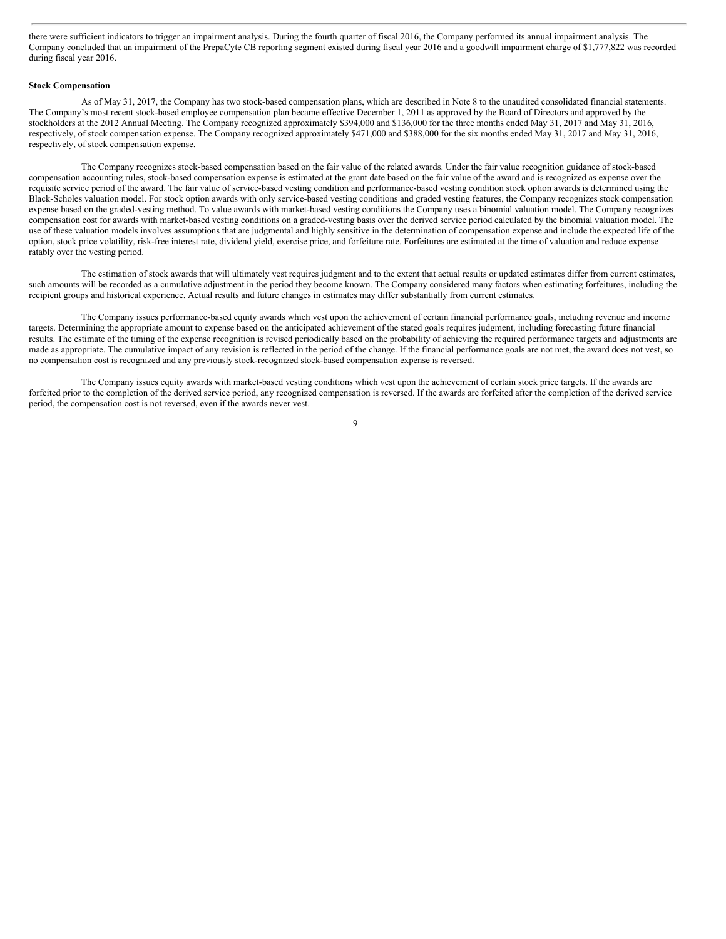there were sufficient indicators to trigger an impairment analysis. During the fourth quarter of fiscal 2016, the Company performed its annual impairment analysis. The Company concluded that an impairment of the PrepaCyte CB reporting segment existed during fiscal year 2016 and a goodwill impairment charge of \$1,777,822 was recorded during fiscal year 2016.

#### **Stock Compensation**

As of May 31, 2017, the Company has two stock-based compensation plans, which are described in Note 8 to the unaudited consolidated financial statements. The Company's most recent stock-based employee compensation plan became effective December 1, 2011 as approved by the Board of Directors and approved by the stockholders at the 2012 Annual Meeting. The Company recognized approximately \$394,000 and \$136,000 for the three months ended May 31, 2017 and May 31, 2016, respectively, of stock compensation expense. The Company recognized approximately \$471,000 and \$388,000 for the six months ended May 31, 2017 and May 31, 2016, respectively, of stock compensation expense.

The Company recognizes stock-based compensation based on the fair value of the related awards. Under the fair value recognition guidance of stock-based compensation accounting rules, stock-based compensation expense is estimated at the grant date based on the fair value of the award and is recognized as expense over the requisite service period of the award. The fair value of service-based vesting condition and performance-based vesting condition stock option awards is determined using the Black-Scholes valuation model. For stock option awards with only service-based vesting conditions and graded vesting features, the Company recognizes stock compensation expense based on the graded-vesting method. To value awards with market-based vesting conditions the Company uses a binomial valuation model. The Company recognizes compensation cost for awards with market-based vesting conditions on a graded-vesting basis over the derived service period calculated by the binomial valuation model. The use of these valuation models involves assumptions that are judgmental and highly sensitive in the determination of compensation expense and include the expected life of the option, stock price volatility, risk-free interest rate, dividend yield, exercise price, and forfeiture rate. Forfeitures are estimated at the time of valuation and reduce expense ratably over the vesting period.

The estimation of stock awards that will ultimately vest requires judgment and to the extent that actual results or updated estimates differ from current estimates, such amounts will be recorded as a cumulative adjustment in the period they become known. The Company considered many factors when estimating forfeitures, including the recipient groups and historical experience. Actual results and future changes in estimates may differ substantially from current estimates.

The Company issues performance-based equity awards which vest upon the achievement of certain financial performance goals, including revenue and income targets. Determining the appropriate amount to expense based on the anticipated achievement of the stated goals requires judgment, including forecasting future financial results. The estimate of the timing of the expense recognition is revised periodically based on the probability of achieving the required performance targets and adjustments are made as appropriate. The cumulative impact of any revision is reflected in the period of the change. If the financial performance goals are not met, the award does not vest, so no compensation cost is recognized and any previously stock-recognized stock-based compensation expense is reversed.

The Company issues equity awards with market-based vesting conditions which vest upon the achievement of certain stock price targets. If the awards are forfeited prior to the completion of the derived service period, any recognized compensation is reversed. If the awards are forfeited after the completion of the derived service period, the compensation cost is not reversed, even if the awards never vest.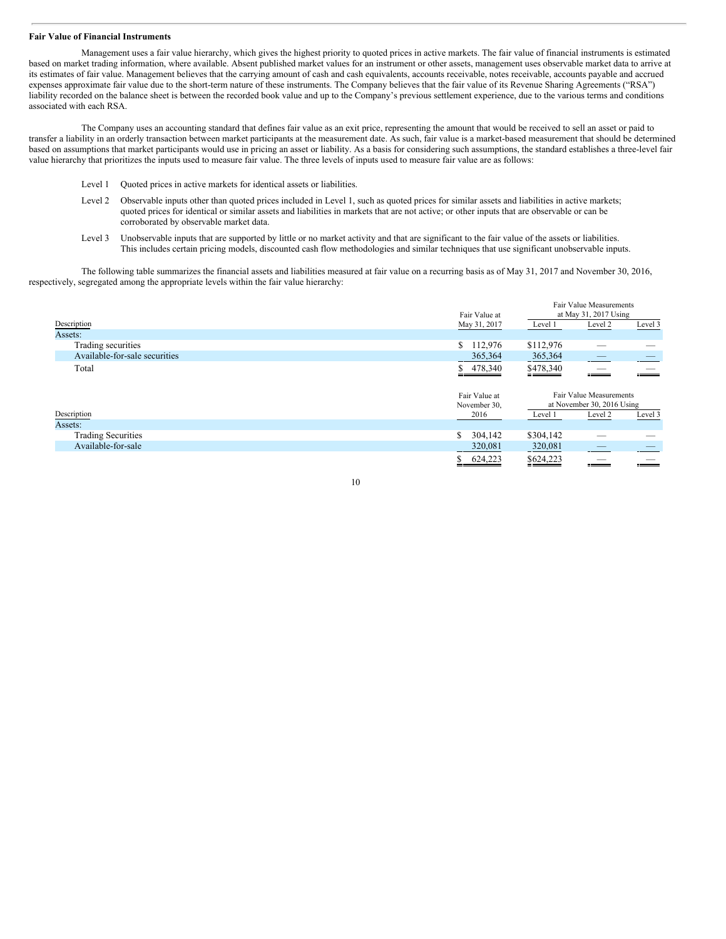#### **Fair Value of Financial Instruments**

Management uses a fair value hierarchy, which gives the highest priority to quoted prices in active markets. The fair value of financial instruments is estimated based on market trading information, where available. Absent published market values for an instrument or other assets, management uses observable market data to arrive at its estimates of fair value. Management believes that the carrying amount of cash and cash equivalents, accounts receivable, notes receivable, accounts payable and accrued expenses approximate fair value due to the short-term nature of these instruments. The Company believes that the fair value of its Revenue Sharing Agreements ("RSA") liability recorded on the balance sheet is between the recorded book value and up to the Company's previous settlement experience, due to the various terms and conditions associated with each RSA.

The Company uses an accounting standard that defines fair value as an exit price, representing the amount that would be received to sell an asset or paid to transfer a liability in an orderly transaction between market participants at the measurement date. As such, fair value is a market-based measurement that should be determined based on assumptions that market participants would use in pricing an asset or liability. As a basis for considering such assumptions, the standard establishes a three-level fair value hierarchy that prioritizes the inputs used to measure fair value. The three levels of inputs used to measure fair value are as follows:

- Level 1 Quoted prices in active markets for identical assets or liabilities.
- Level 2 Observable inputs other than quoted prices included in Level 1, such as quoted prices for similar assets and liabilities in active markets; quoted prices for identical or similar assets and liabilities in markets that are not active; or other inputs that are observable or can be corroborated by observable market data.
- Level 3 Unobservable inputs that are supported by little or no market activity and that are significant to the fair value of the assets or liabilities. This includes certain pricing models, discounted cash flow methodologies and similar techniques that use significant unobservable inputs.

The following table summarizes the financial assets and liabilities measured at fair value on a recurring basis as of May 31, 2017 and November 30, 2016, respectively, segregated among the appropriate levels within the fair value hierarchy:

|                               |                               |           | Fair Value Measurements                               |         |
|-------------------------------|-------------------------------|-----------|-------------------------------------------------------|---------|
|                               | Fair Value at                 |           | at May 31, 2017 Using                                 |         |
| Description                   | May 31, 2017                  | Level 1   | Level 2                                               | Level 3 |
| Assets:                       |                               |           |                                                       |         |
| Trading securities            | 112,976<br>S.                 | \$112,976 |                                                       |         |
| Available-for-sale securities | 365,364                       | 365,364   |                                                       |         |
| Total                         | \$478,340                     | \$478,340 |                                                       |         |
|                               | Fair Value at<br>November 30, |           | Fair Value Measurements<br>at November 30, 2016 Using |         |
| Description                   | 2016                          | Level 1   | Level 2                                               | Level 3 |
| Assets:                       |                               |           |                                                       |         |
| <b>Trading Securities</b>     | 304,142                       | \$304,142 |                                                       |         |
| Available-for-sale            | 320,081                       | 320,081   |                                                       |         |
|                               | 624,223                       | \$624,223 |                                                       |         |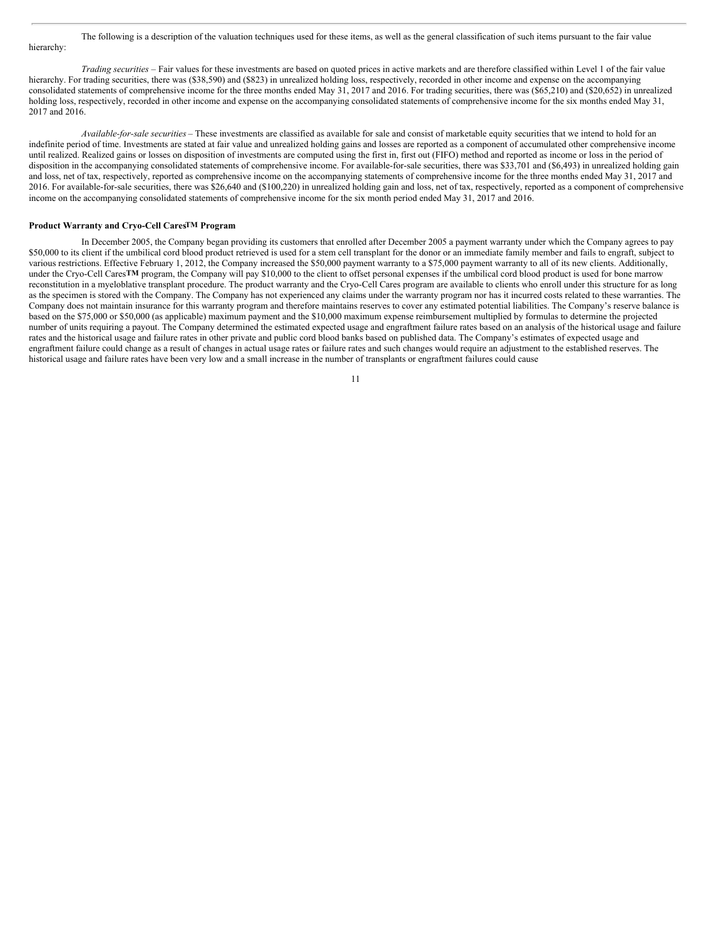The following is a description of the valuation techniques used for these items, as well as the general classification of such items pursuant to the fair value hierarchy:

*Trading securities –* Fair values for these investments are based on quoted prices in active markets and are therefore classified within Level 1 of the fair value hierarchy. For trading securities, there was (\$38,590) and (\$823) in unrealized holding loss, respectively, recorded in other income and expense on the accompanying consolidated statements of comprehensive income for the three months ended May 31, 2017 and 2016. For trading securities, there was (\$65,210) and (\$20,652) in unrealized holding loss, respectively, recorded in other income and expense on the accompanying consolidated statements of comprehensive income for the six months ended May 31, 2017 and 2016.

*Available-for-sale securities* – These investments are classified as available for sale and consist of marketable equity securities that we intend to hold for an indefinite period of time. Investments are stated at fair value and unrealized holding gains and losses are reported as a component of accumulated other comprehensive income until realized. Realized gains or losses on disposition of investments are computed using the first in, first out (FIFO) method and reported as income or loss in the period of disposition in the accompanying consolidated statements of comprehensive income. For available-for-sale securities, there was \$33,701 and (\$6,493) in unrealized holding gain and loss, net of tax, respectively, reported as comprehensive income on the accompanying statements of comprehensive income for the three months ended May 31, 2017 and 2016. For available-for-sale securities, there was \$26,640 and (\$100,220) in unrealized holding gain and loss, net of tax, respectively, reported as a component of comprehensive income on the accompanying consolidated statements of comprehensive income for the six month period ended May 31, 2017 and 2016.

#### **Product Warranty and Cryo-Cell CaresTM Program**

In December 2005, the Company began providing its customers that enrolled after December 2005 a payment warranty under which the Company agrees to pay \$50,000 to its client if the umbilical cord blood product retrieved is used for a stem cell transplant for the donor or an immediate family member and fails to engraft, subject to various restrictions. Effective February 1, 2012, the Company increased the \$50,000 payment warranty to a \$75,000 payment warranty to all of its new clients. Additionally, under the Cryo-Cell Cares**TM** program, the Company will pay \$10,000 to the client to offset personal expenses if the umbilical cord blood product is used for bone marrow reconstitution in a myeloblative transplant procedure. The product warranty and the Cryo-Cell Cares program are available to clients who enroll under this structure for as long as the specimen is stored with the Company. The Company has not experienced any claims under the warranty program nor has it incurred costs related to these warranties. The Company does not maintain insurance for this warranty program and therefore maintains reserves to cover any estimated potential liabilities. The Company's reserve balance is based on the \$75,000 or \$50,000 (as applicable) maximum payment and the \$10,000 maximum expense reimbursement multiplied by formulas to determine the projected number of units requiring a payout. The Company determined the estimated expected usage and engraftment failure rates based on an analysis of the historical usage and failure rates and the historical usage and failure rates in other private and public cord blood banks based on published data. The Company's estimates of expected usage and engraftment failure could change as a result of changes in actual usage rates or failure rates and such changes would require an adjustment to the established reserves. The historical usage and failure rates have been very low and a small increase in the number of transplants or engraftment failures could cause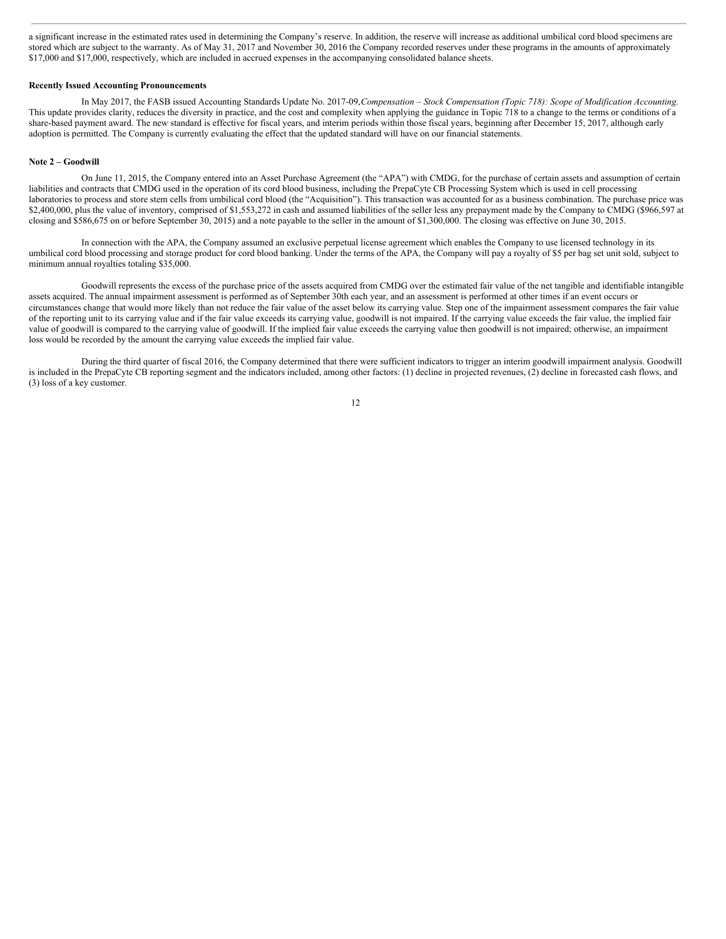a significant increase in the estimated rates used in determining the Company's reserve. In addition, the reserve will increase as additional umbilical cord blood specimens are stored which are subject to the warranty. As of May 31, 2017 and November 30, 2016 the Company recorded reserves under these programs in the amounts of approximately \$17,000 and \$17,000, respectively, which are included in accrued expenses in the accompanying consolidated balance sheets.

#### **Recently Issued Accounting Pronouncements**

In May 2017, the FASB issued Accounting Standards Update No. 2017-09,*Compensation – Stock Compensation (Topic 718): Scope of Modification Accounting.* This update provides clarity, reduces the diversity in practice, and the cost and complexity when applying the guidance in Topic 718 to a change to the terms or conditions of a share-based payment award. The new standard is effective for fiscal years, and interim periods within those fiscal years, beginning after December 15, 2017, although early adoption is permitted. The Company is currently evaluating the effect that the updated standard will have on our financial statements.

#### **Note 2 – Goodwill**

On June 11, 2015, the Company entered into an Asset Purchase Agreement (the "APA") with CMDG, for the purchase of certain assets and assumption of certain liabilities and contracts that CMDG used in the operation of its cord blood business, including the PrepaCyte CB Processing System which is used in cell processing laboratories to process and store stem cells from umbilical cord blood (the "Acquisition"). This transaction was accounted for as a business combination. The purchase price was \$2,400,000, plus the value of inventory, comprised of \$1,553,272 in cash and assumed liabilities of the seller less any prepayment made by the Company to CMDG (\$966,597 at closing and \$586,675 on or before September 30, 2015) and a note payable to the seller in the amount of \$1,300,000. The closing was effective on June 30, 2015.

In connection with the APA, the Company assumed an exclusive perpetual license agreement which enables the Company to use licensed technology in its umbilical cord blood processing and storage product for cord blood banking. Under the terms of the APA, the Company will pay a royalty of \$5 per bag set unit sold, subject to minimum annual royalties totaling \$35,000.

Goodwill represents the excess of the purchase price of the assets acquired from CMDG over the estimated fair value of the net tangible and identifiable intangible assets acquired. The annual impairment assessment is performed as of September 30th each year, and an assessment is performed at other times if an event occurs or circumstances change that would more likely than not reduce the fair value of the asset below its carrying value. Step one of the impairment assessment compares the fair value of the reporting unit to its carrying value and if the fair value exceeds its carrying value, goodwill is not impaired. If the carrying value exceeds the fair value, the implied fair value of goodwill is compared to the carrying value of goodwill. If the implied fair value exceeds the carrying value then goodwill is not impaired; otherwise, an impairment loss would be recorded by the amount the carrying value exceeds the implied fair value.

During the third quarter of fiscal 2016, the Company determined that there were sufficient indicators to trigger an interim goodwill impairment analysis. Goodwill is included in the PrepaCyte CB reporting segment and the indicators included, among other factors: (1) decline in projected revenues, (2) decline in forecasted cash flows, and (3) loss of a key customer.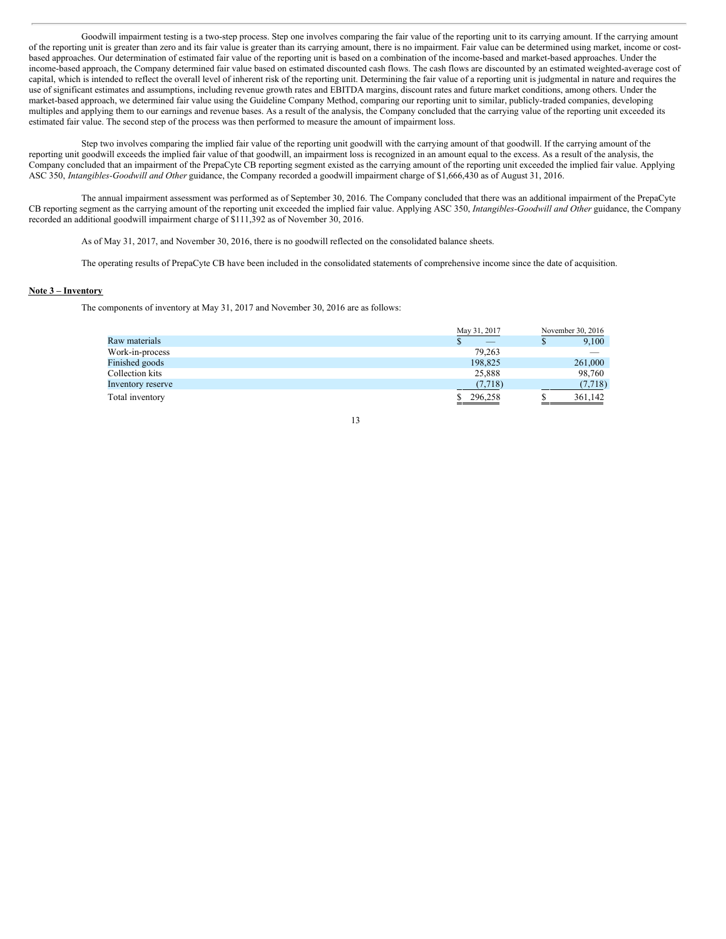Goodwill impairment testing is a two-step process. Step one involves comparing the fair value of the reporting unit to its carrying amount. If the carrying amount of the reporting unit is greater than zero and its fair value is greater than its carrying amount, there is no impairment. Fair value can be determined using market, income or costbased approaches. Our determination of estimated fair value of the reporting unit is based on a combination of the income-based and market-based approaches. Under the income-based approach, the Company determined fair value based on estimated discounted cash flows. The cash flows are discounted by an estimated weighted-average cost of capital, which is intended to reflect the overall level of inherent risk of the reporting unit. Determining the fair value of a reporting unit is judgmental in nature and requires the use of significant estimates and assumptions, including revenue growth rates and EBITDA margins, discount rates and future market conditions, among others. Under the market-based approach, we determined fair value using the Guideline Company Method, comparing our reporting unit to similar, publicly-traded companies, developing multiples and applying them to our earnings and revenue bases. As a result of the analysis, the Company concluded that the carrying value of the reporting unit exceeded its estimated fair value. The second step of the process was then performed to measure the amount of impairment loss.

Step two involves comparing the implied fair value of the reporting unit goodwill with the carrying amount of that goodwill. If the carrying amount of the reporting unit goodwill exceeds the implied fair value of that goodwill, an impairment loss is recognized in an amount equal to the excess. As a result of the analysis, the Company concluded that an impairment of the PrepaCyte CB reporting segment existed as the carrying amount of the reporting unit exceeded the implied fair value. Applying ASC 350, *Intangibles-Goodwill and Other* guidance, the Company recorded a goodwill impairment charge of \$1,666,430 as of August 31, 2016.

The annual impairment assessment was performed as of September 30, 2016. The Company concluded that there was an additional impairment of the PrepaCyte CB reporting segment as the carrying amount of the reporting unit exceeded the implied fair value. Applying ASC 350, *Intangibles-Goodwill and Other* guidance, the Company recorded an additional goodwill impairment charge of \$111,392 as of November 30, 2016.

As of May 31, 2017, and November 30, 2016, there is no goodwill reflected on the consolidated balance sheets.

The operating results of PrepaCyte CB have been included in the consolidated statements of comprehensive income since the date of acquisition.

#### **Note 3 – Inventory**

The components of inventory at May 31, 2017 and November 30, 2016 are as follows:

|                   | May 31, 2017 | November 30, 2016 |
|-------------------|--------------|-------------------|
| Raw materials     |              | 9.100             |
| Work-in-process   | 79.263       |                   |
| Finished goods    | 198,825      | 261,000           |
| Collection kits   | 25.888       | 98,760            |
| Inventory reserve | (7, 718)     | (7,718)           |
| Total inventory   | 296,258      | 361.142           |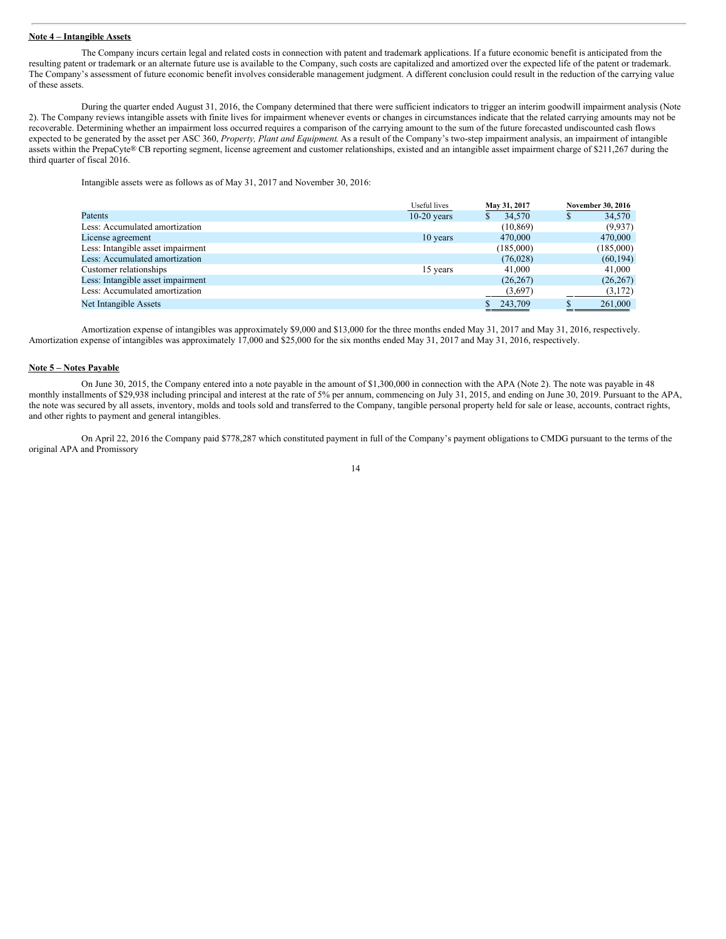#### **Note 4 – Intangible Assets**

The Company incurs certain legal and related costs in connection with patent and trademark applications. If a future economic benefit is anticipated from the resulting patent or trademark or an alternate future use is available to the Company, such costs are capitalized and amortized over the expected life of the patent or trademark. The Company's assessment of future economic benefit involves considerable management judgment. A different conclusion could result in the reduction of the carrying value of these assets.

During the quarter ended August 31, 2016, the Company determined that there were sufficient indicators to trigger an interim goodwill impairment analysis (Note 2). The Company reviews intangible assets with finite lives for impairment whenever events or changes in circumstances indicate that the related carrying amounts may not be recoverable. Determining whether an impairment loss occurred requires a comparison of the carrying amount to the sum of the future forecasted undiscounted cash flows expected to be generated by the asset per ASC 360, *Property, Plant and Equipment*. As a result of the Company's two-step impairment analysis, an impairment of intangible assets within the PrepaCyte® CB reporting segment, license agreement and customer relationships, existed and an intangible asset impairment charge of \$211,267 during the third quarter of fiscal 2016.

Intangible assets were as follows as of May 31, 2017 and November 30, 2016:

|                                   | Useful lives  | May 31, 2017 | <b>November 30, 2016</b> |
|-----------------------------------|---------------|--------------|--------------------------|
| Patents                           | $10-20$ years | 34,570       | 34,570                   |
| Less: Accumulated amortization    |               | (10, 869)    | (9,937)                  |
| License agreement                 | 10 years      | 470,000      | 470,000                  |
| Less: Intangible asset impairment |               | (185,000)    | (185,000)                |
| Less: Accumulated amortization    |               | (76,028)     | (60, 194)                |
| Customer relationships            | 15 years      | 41,000       | 41,000                   |
| Less: Intangible asset impairment |               | (26, 267)    | (26, 267)                |
| Less: Accumulated amortization    |               | (3,697)      | (3,172)                  |
| Net Intangible Assets             |               | 243,709      | 261,000                  |

Amortization expense of intangibles was approximately \$9,000 and \$13,000 for the three months ended May 31, 2017 and May 31, 2016, respectively. Amortization expense of intangibles was approximately 17,000 and \$25,000 for the six months ended May 31, 2017 and May 31, 2016, respectively.

#### **Note 5 – Notes Payable**

On June 30, 2015, the Company entered into a note payable in the amount of \$1,300,000 in connection with the APA (Note 2). The note was payable in 48 monthly installments of \$29,938 including principal and interest at the rate of 5% per annum, commencing on July 31, 2015, and ending on June 30, 2019. Pursuant to the APA, the note was secured by all assets, inventory, molds and tools sold and transferred to the Company, tangible personal property held for sale or lease, accounts, contract rights, and other rights to payment and general intangibles.

On April 22, 2016 the Company paid \$778,287 which constituted payment in full of the Company's payment obligations to CMDG pursuant to the terms of the original APA and Promissory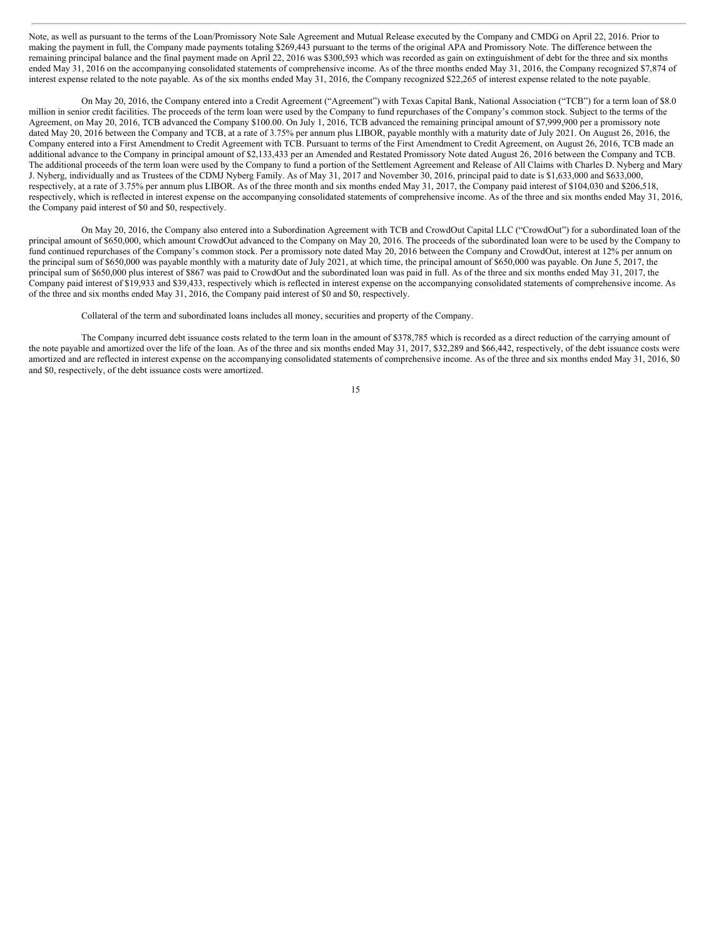Note, as well as pursuant to the terms of the Loan/Promissory Note Sale Agreement and Mutual Release executed by the Company and CMDG on April 22, 2016. Prior to making the payment in full, the Company made payments totaling \$269,443 pursuant to the terms of the original APA and Promissory Note. The difference between the remaining principal balance and the final payment made on April 22, 2016 was \$300,593 which was recorded as gain on extinguishment of debt for the three and six months ended May 31, 2016 on the accompanying consolidated statements of comprehensive income. As of the three months ended May 31, 2016, the Company recognized \$7,874 of interest expense related to the note payable. As of the six months ended May 31, 2016, the Company recognized \$22,265 of interest expense related to the note payable.

On May 20, 2016, the Company entered into a Credit Agreement ("Agreement") with Texas Capital Bank, National Association ("TCB") for a term loan of \$8.0 million in senior credit facilities. The proceeds of the term loan were used by the Company to fund repurchases of the Company's common stock. Subject to the terms of the Agreement, on May 20, 2016, TCB advanced the Company \$100.00. On July 1, 2016, TCB advanced the remaining principal amount of \$7,999,900 per a promissory note dated May 20, 2016 between the Company and TCB, at a rate of 3.75% per annum plus LIBOR, payable monthly with a maturity date of July 2021. On August 26, 2016, the Company entered into a First Amendment to Credit Agreement with TCB. Pursuant to terms of the First Amendment to Credit Agreement, on August 26, 2016, TCB made an additional advance to the Company in principal amount of \$2,133,433 per an Amended and Restated Promissory Note dated August 26, 2016 between the Company and TCB. The additional proceeds of the term loan were used by the Company to fund a portion of the Settlement Agreement and Release of All Claims with Charles D. Nyberg and Mary J. Nyberg, individually and as Trustees of the CDMJ Nyberg Family. As of May 31, 2017 and November 30, 2016, principal paid to date is \$1,633,000 and \$633,000, respectively, at a rate of 3.75% per annum plus LIBOR. As of the three month and six months ended May 31, 2017, the Company paid interest of \$104,030 and \$206,518, respectively, which is reflected in interest expense on the accompanying consolidated statements of comprehensive income. As of the three and six months ended May 31, 2016, the Company paid interest of \$0 and \$0, respectively.

On May 20, 2016, the Company also entered into a Subordination Agreement with TCB and CrowdOut Capital LLC ("CrowdOut") for a subordinated loan of the principal amount of \$650,000, which amount CrowdOut advanced to the Company on May 20, 2016. The proceeds of the subordinated loan were to be used by the Company to fund continued repurchases of the Company's common stock. Per a promissory note dated May 20, 2016 between the Company and CrowdOut, interest at 12% per annum on the principal sum of \$650,000 was payable monthly with a maturity date of July 2021, at which time, the principal amount of \$650,000 was payable. On June 5, 2017, the principal sum of \$650,000 plus interest of \$867 was paid to CrowdOut and the subordinated loan was paid in full. As of the three and six months ended May 31, 2017, the Company paid interest of \$19,933 and \$39,433, respectively which is reflected in interest expense on the accompanying consolidated statements of comprehensive income. As of the three and six months ended May 31, 2016, the Company paid interest of \$0 and \$0, respectively.

Collateral of the term and subordinated loans includes all money, securities and property of the Company.

The Company incurred debt issuance costs related to the term loan in the amount of \$378,785 which is recorded as a direct reduction of the carrying amount of the note payable and amortized over the life of the loan. As of the three and six months ended May 31, 2017, \$32,289 and \$66,442, respectively, of the debt issuance costs were amortized and are reflected in interest expense on the accompanying consolidated statements of comprehensive income. As of the three and six months ended May 31, 2016, \$0 and \$0, respectively, of the debt issuance costs were amortized.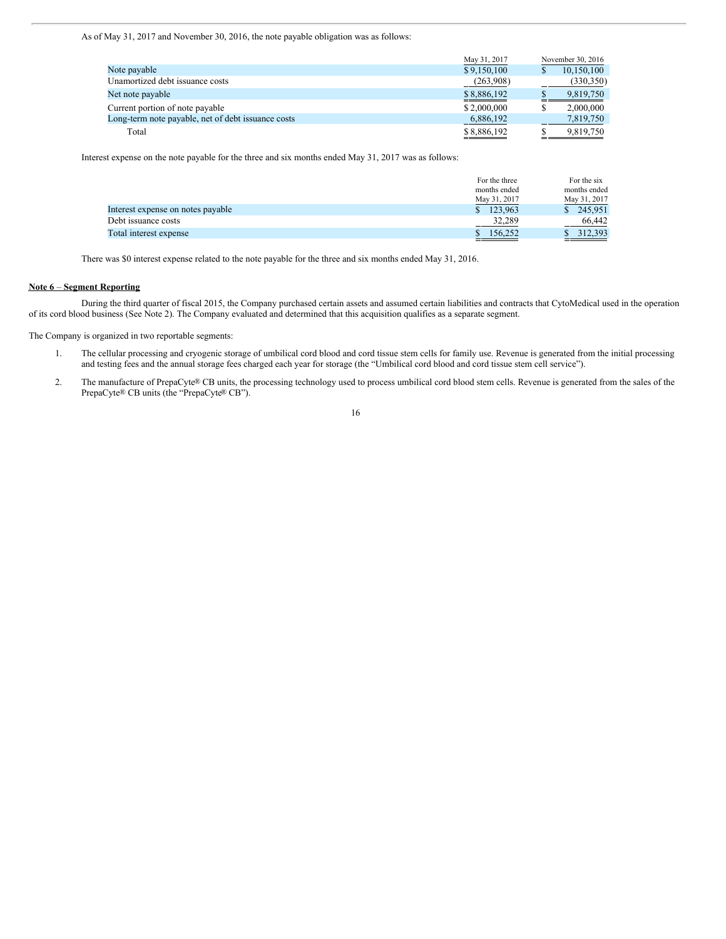As of May 31, 2017 and November 30, 2016, the note payable obligation was as follows:

|                                                    | May 31, 2017 | November 30, 2016 |
|----------------------------------------------------|--------------|-------------------|
| Note payable                                       | \$9,150,100  | 10,150,100        |
| Unamortized debt issuance costs                    | (263,908)    | (330,350)         |
| Net note payable                                   | \$8,886,192  | 9,819,750         |
| Current portion of note payable                    | \$2,000,000  | 2,000,000         |
| Long-term note payable, net of debt issuance costs | 6,886,192    | 7,819,750         |
| Total                                              | \$8,886,192  | 9,819,750         |

Interest expense on the note payable for the three and six months ended May 31, 2017 was as follows:

|                                   | For the three | For the six             |
|-----------------------------------|---------------|-------------------------|
|                                   | months ended  | months ended            |
|                                   | May 31, 2017  | May 31, 2017            |
| Interest expense on notes payable | 123.963       | 245.951<br><sup>S</sup> |
| Debt issuance costs               | 32,289        | 66.442                  |
| Total interest expense            | 156,252       | 312.393                 |
|                                   |               |                         |

There was \$0 interest expense related to the note payable for the three and six months ended May 31, 2016.

#### **Note 6** – **Segment Reporting**

During the third quarter of fiscal 2015, the Company purchased certain assets and assumed certain liabilities and contracts that CytoMedical used in the operation of its cord blood business (See Note 2). The Company evaluated and determined that this acquisition qualifies as a separate segment.

The Company is organized in two reportable segments:

- 1. The cellular processing and cryogenic storage of umbilical cord blood and cord tissue stem cells for family use. Revenue is generated from the initial processing and testing fees and the annual storage fees charged each year for storage (the "Umbilical cord blood and cord tissue stem cell service").
- 2. The manufacture of PrepaCyte® CB units, the processing technology used to process umbilical cord blood stem cells. Revenue is generated from the sales of the PrepaCyte® CB units (the "PrepaCyte® CB").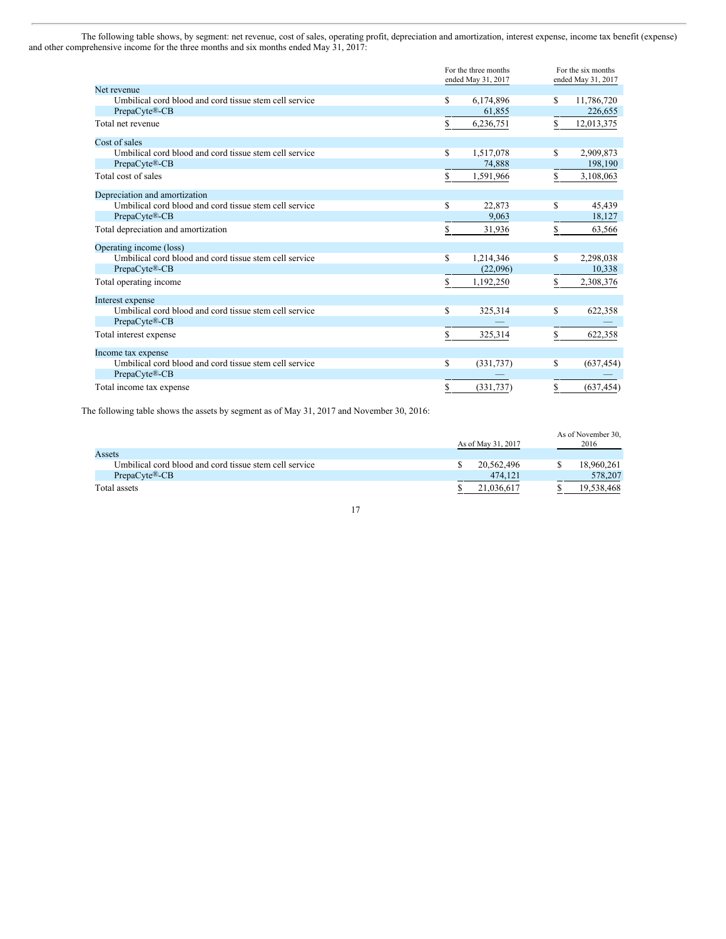The following table shows, by segment: net revenue, cost of sales, operating profit, depreciation and amortization, interest expense, income tax benefit (expense) and other comprehensive income for the three months and six months ended May 31, 2017:

|                                                        | For the three months<br>ended May 31, 2017 | For the six months<br>ended May 31, 2017 |  |
|--------------------------------------------------------|--------------------------------------------|------------------------------------------|--|
| Net revenue                                            |                                            |                                          |  |
| Umbilical cord blood and cord tissue stem cell service | \$<br>6,174,896                            | \$<br>11,786,720                         |  |
| PrepaCyte®-CB                                          | 61,855                                     | 226,655                                  |  |
| Total net revenue                                      | \$<br>6,236,751                            | \$<br>12,013,375                         |  |
| Cost of sales                                          |                                            |                                          |  |
| Umbilical cord blood and cord tissue stem cell service | \$<br>1,517,078                            | \$<br>2,909,873                          |  |
| PrepaCyte®-CB                                          | 74,888                                     | 198,190                                  |  |
| Total cost of sales                                    | \$<br>1,591,966                            | \$<br>3,108,063                          |  |
| Depreciation and amortization                          |                                            |                                          |  |
| Umbilical cord blood and cord tissue stem cell service | \$<br>22,873                               | \$<br>45,439                             |  |
| PrepaCyte®-CB                                          | 9.063                                      | 18,127                                   |  |
| Total depreciation and amortization                    | \$<br>31,936                               | \$<br>63,566                             |  |
| Operating income (loss)                                |                                            |                                          |  |
| Umbilical cord blood and cord tissue stem cell service | \$<br>1,214,346                            | \$<br>2,298,038                          |  |
| PrepaCyte®-CB                                          | (22,096)                                   | 10,338                                   |  |
| Total operating income                                 | \$<br>1,192,250                            | \$<br>2,308,376                          |  |
| Interest expense                                       |                                            |                                          |  |
| Umbilical cord blood and cord tissue stem cell service | \$<br>325,314                              | \$<br>622,358                            |  |
| PrepaCyte®-CB                                          |                                            |                                          |  |
| Total interest expense                                 | \$<br>325,314                              | 622,358<br>\$                            |  |
| Income tax expense                                     |                                            |                                          |  |
| Umbilical cord blood and cord tissue stem cell service | \$<br>(331, 737)                           | \$<br>(637, 454)                         |  |
| PrepaCyte®-CB                                          |                                            |                                          |  |
| Total income tax expense                               | \$<br>(331, 737)                           | \$<br>(637, 454)                         |  |

The following table shows the assets by segment as of May 31, 2017 and November 30, 2016:

|                                                        | As of May 31, 2017 | As of November 30,<br>2016 |
|--------------------------------------------------------|--------------------|----------------------------|
| Assets                                                 |                    |                            |
| Umbilical cord blood and cord tissue stem cell service | 20.562.496         | 18,960,261                 |
| PrepaCyte®-CB                                          | 474.121            | 578,207                    |
| Total assets                                           | 21,036,617         | 19.538.468                 |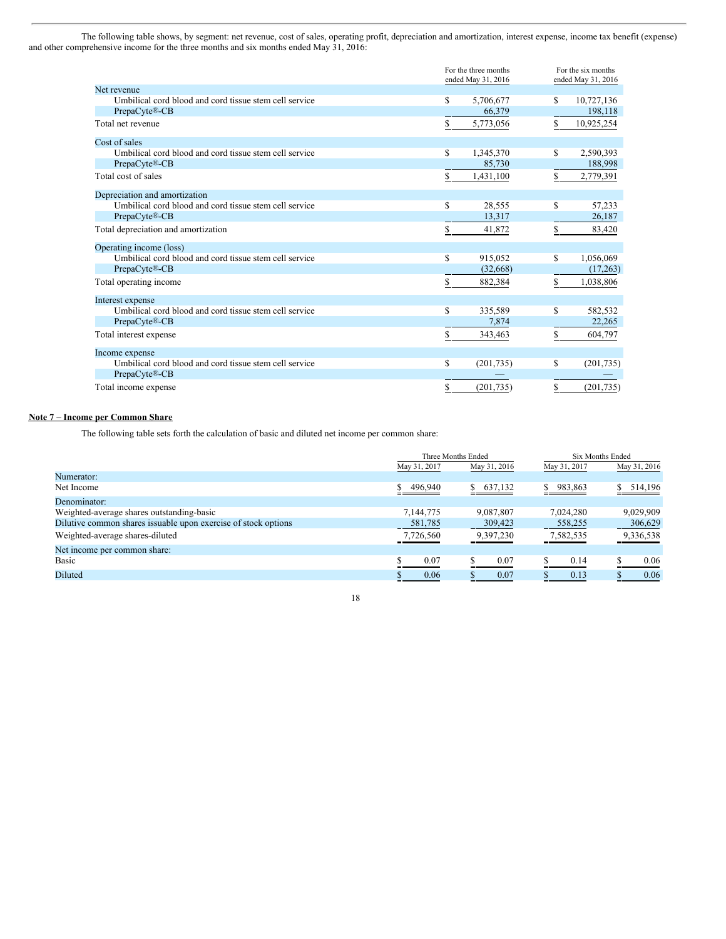The following table shows, by segment: net revenue, cost of sales, operating profit, depreciation and amortization, interest expense, income tax benefit (expense) and other comprehensive income for the three months and six months ended May 31, 2016:

|                                                        | For the three months<br>ended May 31, 2016 | For the six months<br>ended May 31, 2016 |  |
|--------------------------------------------------------|--------------------------------------------|------------------------------------------|--|
| Net revenue                                            |                                            |                                          |  |
| Umbilical cord blood and cord tissue stem cell service | \$<br>5,706,677                            | \$<br>10,727,136                         |  |
| PrepaCyte®-CB                                          | 66.379                                     | 198,118                                  |  |
| Total net revenue                                      | \$<br>5,773,056                            | \$<br>10,925,254                         |  |
| Cost of sales                                          |                                            |                                          |  |
| Umbilical cord blood and cord tissue stem cell service | \$<br>1,345,370                            | \$<br>2,590,393                          |  |
| PrepaCyte®-CB                                          | 85,730                                     | 188,998                                  |  |
| Total cost of sales                                    | \$<br>1,431,100                            | \$<br>2,779,391                          |  |
| Depreciation and amortization                          |                                            |                                          |  |
| Umbilical cord blood and cord tissue stem cell service | \$<br>28,555                               | S.<br>57,233                             |  |
| PrepaCyte®-CB                                          | 13,317                                     | 26,187                                   |  |
| Total depreciation and amortization                    | \$<br>41,872                               | \$<br>83,420                             |  |
| Operating income (loss)                                |                                            |                                          |  |
| Umbilical cord blood and cord tissue stem cell service | \$<br>915,052                              | \$<br>1,056,069                          |  |
| PrepaCyte®-CB                                          | (32,668)                                   | (17,263)                                 |  |
| Total operating income                                 | \$<br>882,384                              | \$<br>1,038,806                          |  |
| Interest expense                                       |                                            |                                          |  |
| Umbilical cord blood and cord tissue stem cell service | \$<br>335,589                              | \$<br>582,532                            |  |
| PrepaCyte®-CB                                          | 7,874                                      | 22,265                                   |  |
| Total interest expense                                 | \$<br>343,463                              | \$<br>604,797                            |  |
| Income expense                                         |                                            |                                          |  |
| Umbilical cord blood and cord tissue stem cell service | \$<br>(201, 735)                           | \$<br>(201, 735)                         |  |
| PrepaCyte®-CB                                          |                                            |                                          |  |
| Total income expense                                   | \$<br>(201, 735)                           | \$<br>(201, 735)                         |  |

# **Note 7 – Income per Common Share**

The following table sets forth the calculation of basic and diluted net income per common share:

|                                                                | Three Months Ended |               | Six Months Ended |               |  |
|----------------------------------------------------------------|--------------------|---------------|------------------|---------------|--|
|                                                                | May 31, 2017       | May 31, 2016  | May 31, 2017     | May 31, 2016  |  |
| Numerator:                                                     |                    |               |                  |               |  |
| Net Income                                                     | 496,940            | 637,132<br>\$ | 983,863<br>S.    | 514,196<br>S. |  |
| Denominator:                                                   |                    |               |                  |               |  |
| Weighted-average shares outstanding-basic                      | 7,144,775          | 9,087,807     | 7,024,280        | 9.029.909     |  |
| Dilutive common shares issuable upon exercise of stock options | 581,785            | 309,423       | 558,255          | 306,629       |  |
| Weighted-average shares-diluted                                | 7,726,560          | 9,397,230     | 7,582,535        | 9,336,538     |  |
| Net income per common share:                                   |                    |               |                  |               |  |
| Basic                                                          | 0.07               | 0.07          | 0.14             | 0.06          |  |
| Diluted                                                        | 0.06               | 0.07          | 0.13             | 0.06          |  |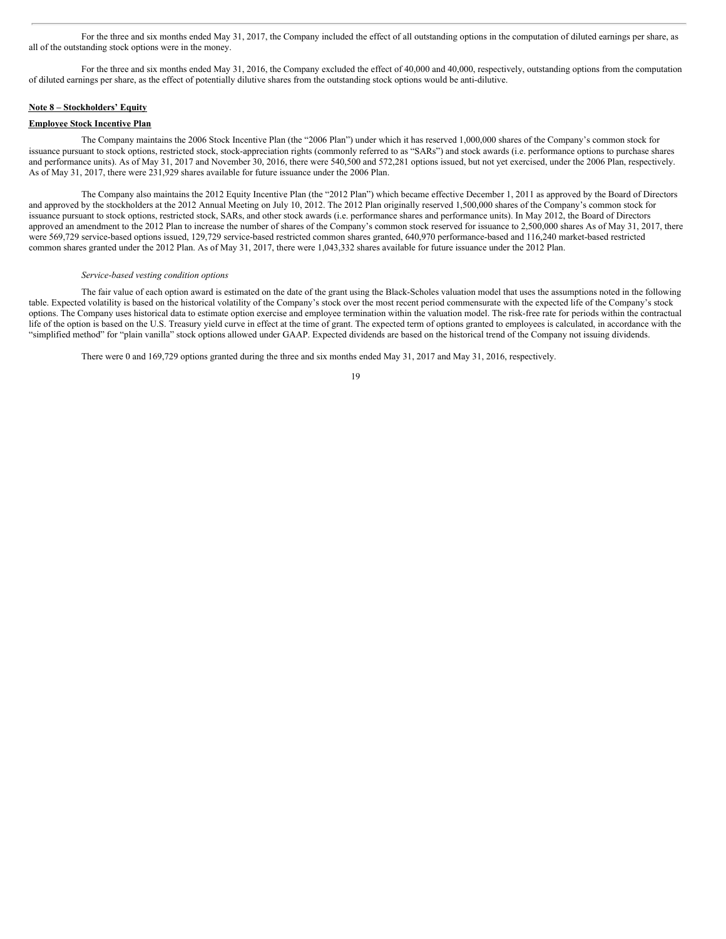For the three and six months ended May 31, 2017, the Company included the effect of all outstanding options in the computation of diluted earnings per share, as all of the outstanding stock options were in the money.

For the three and six months ended May 31, 2016, the Company excluded the effect of 40,000 and 40,000, respectively, outstanding options from the computation of diluted earnings per share, as the effect of potentially dilutive shares from the outstanding stock options would be anti-dilutive.

#### **Note 8 – Stockholders' Equity**

#### **Employee Stock Incentive Plan**

The Company maintains the 2006 Stock Incentive Plan (the "2006 Plan") under which it has reserved 1,000,000 shares of the Company's common stock for issuance pursuant to stock options, restricted stock, stock-appreciation rights (commonly referred to as "SARs") and stock awards (i.e. performance options to purchase shares and performance units). As of May 31, 2017 and November 30, 2016, there were 540,500 and 572,281 options issued, but not yet exercised, under the 2006 Plan, respectively. As of May 31, 2017, there were 231,929 shares available for future issuance under the 2006 Plan.

The Company also maintains the 2012 Equity Incentive Plan (the "2012 Plan") which became effective December 1, 2011 as approved by the Board of Directors and approved by the stockholders at the 2012 Annual Meeting on July 10, 2012. The 2012 Plan originally reserved 1,500,000 shares of the Company's common stock for issuance pursuant to stock options, restricted stock, SARs, and other stock awards (i.e. performance shares and performance units). In May 2012, the Board of Directors approved an amendment to the 2012 Plan to increase the number of shares of the Company's common stock reserved for issuance to 2,500,000 shares As of May 31, 2017, there were 569,729 service-based options issued, 129,729 service-based restricted common shares granted, 640,970 performance-based and 116,240 market-based restricted common shares granted under the 2012 Plan. As of May 31, 2017, there were 1,043,332 shares available for future issuance under the 2012 Plan.

#### *Service-based vesting condition options*

The fair value of each option award is estimated on the date of the grant using the Black-Scholes valuation model that uses the assumptions noted in the following table. Expected volatility is based on the historical volatility of the Company's stock over the most recent period commensurate with the expected life of the Company's stock options. The Company uses historical data to estimate option exercise and employee termination within the valuation model. The risk-free rate for periods within the contractual life of the option is based on the U.S. Treasury yield curve in effect at the time of grant. The expected term of options granted to employees is calculated, in accordance with the "simplified method" for "plain vanilla" stock options allowed under GAAP. Expected dividends are based on the historical trend of the Company not issuing dividends.

There were 0 and 169,729 options granted during the three and six months ended May 31, 2017 and May 31, 2016, respectively.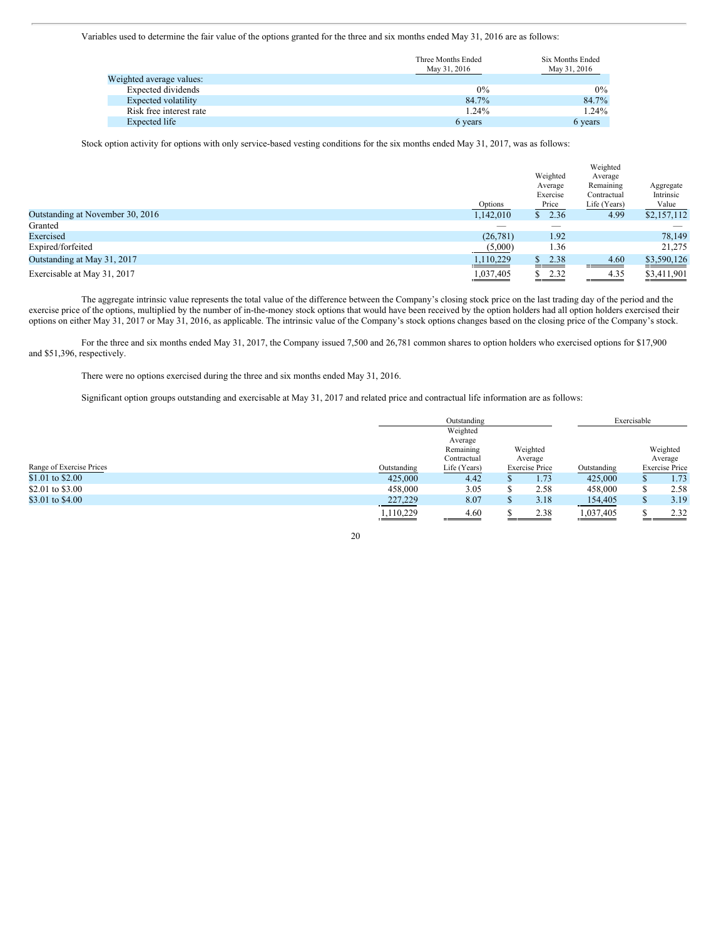Variables used to determine the fair value of the options granted for the three and six months ended May 31, 2016 are as follows:

|                          | Three Months Ended<br>May 31, 2016 | Six Months Ended<br>May 31, 2016 |
|--------------------------|------------------------------------|----------------------------------|
| Weighted average values: |                                    |                                  |
| Expected dividends       | $0\%$                              | $0\%$                            |
| Expected volatility      | 84.7%                              | 84.7%                            |
| Risk free interest rate  | 1.24%                              | $1.24\%$                         |
| Expected life            | 6 years                            | 6 years                          |

Stock option activity for options with only service-based vesting conditions for the six months ended May 31, 2017, was as follows:

|           | Weighted                                           | Average          |             |
|-----------|----------------------------------------------------|------------------|-------------|
|           | Average                                            | Remaining        | Aggregate   |
|           | Exercise                                           | Contractual      | Intrinsic   |
| Options   | Price                                              | Life (Years)     | Value       |
| 1,142,010 | 2.36                                               | 4.99             | \$2,157,112 |
| _         | $\overbrace{\hspace{25mm}}^{}$                     |                  |             |
| (26, 781) | 1.92                                               |                  | 78,149      |
|           | 1.36                                               |                  | 21,275      |
|           | 2.38                                               | 4.60             | \$3,590,126 |
| 1,037,405 | 2.32<br>$\qquad \qquad \overbrace{\qquad \qquad }$ | 4.35<br>_______  | \$3,411,901 |
|           | 1,110,229                                          | (5,000)<br>_____ | Weighted    |

The aggregate intrinsic value represents the total value of the difference between the Company's closing stock price on the last trading day of the period and the exercise price of the options, multiplied by the number of in-the-money stock options that would have been received by the option holders had all option holders exercised their options on either May 31, 2017 or May 31, 2016, as applicable. The intrinsic value of the Company's stock options changes based on the closing price of the Company's stock.

For the three and six months ended May 31, 2017, the Company issued 7,500 and 26,781 common shares to option holders who exercised options for \$17,900 and \$51,396, respectively.

There were no options exercised during the three and six months ended May 31, 2016.

Significant option groups outstanding and exercisable at May 31, 2017 and related price and contractual life information are as follows:

|                          |             | Outstanding  |    |                       |             | Exercisable |                       |  |
|--------------------------|-------------|--------------|----|-----------------------|-------------|-------------|-----------------------|--|
|                          |             | Weighted     |    |                       |             |             |                       |  |
|                          |             | Average      |    |                       |             |             |                       |  |
|                          |             | Remaining    |    | Weighted              |             |             | Weighted              |  |
|                          |             | Contractual  |    | Average               |             |             | Average               |  |
| Range of Exercise Prices | Outstanding | Life (Years) |    | <b>Exercise Price</b> | Outstanding |             | <b>Exercise Price</b> |  |
| \$1.01 to \$2.00         | 425,000     | 4.42         |    | 1.73                  | 425,000     |             | 1.73                  |  |
| \$2.01 to \$3.00         | 458,000     | 3.05         | ۰D | 2.58                  | 458,000     |             | 2.58                  |  |
| \$3.01 to \$4.00         | 227,229     | 8.07         | S  | 3.18                  | 154,405     |             | 3.19                  |  |
|                          | 1,110,229   | 4.60         |    | 2.38                  | 1,037,405   |             | 2.32                  |  |

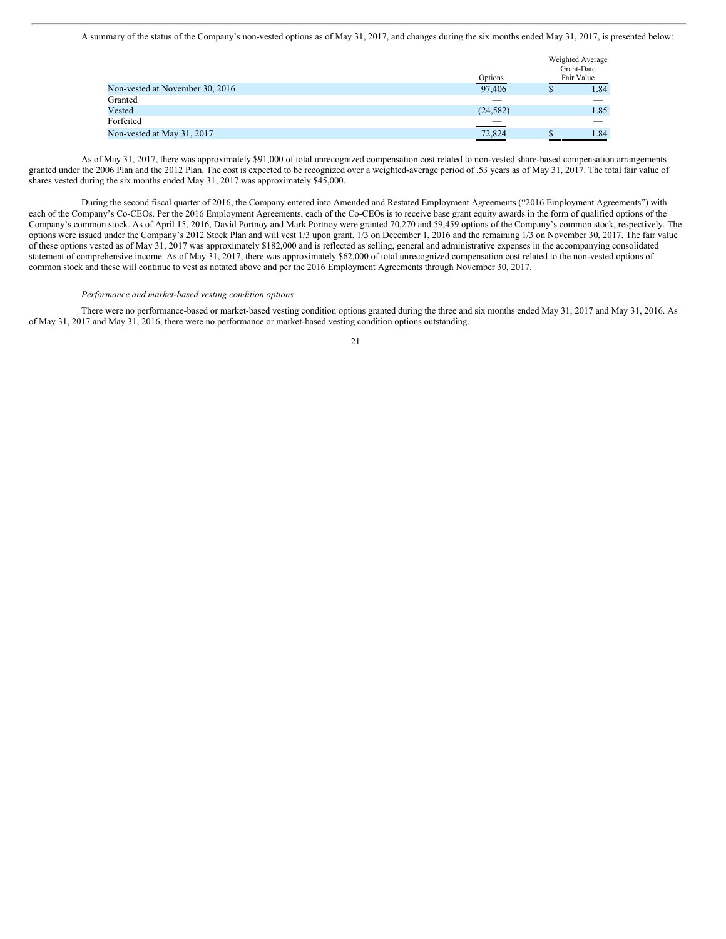A summary of the status of the Company's non-vested options as of May 31, 2017, and changes during the six months ended May 31, 2017, is presented below:

|                                 | Options                  |   | Weighted Average<br>Grant-Date<br>Fair Value |
|---------------------------------|--------------------------|---|----------------------------------------------|
| Non-vested at November 30, 2016 | 97,406                   | Φ | 1.84                                         |
| Granted                         | $\overline{\phantom{a}}$ |   |                                              |
| Vested                          | (24, 582)                |   | 1.85                                         |
| Forfeited                       | $\overline{\phantom{a}}$ |   | __                                           |
| Non-vested at May 31, 2017      | 72,824                   |   | 1.84                                         |

As of May 31, 2017, there was approximately \$91,000 of total unrecognized compensation cost related to non-vested share-based compensation arrangements granted under the 2006 Plan and the 2012 Plan. The cost is expected to be recognized over a weighted-average period of .53 years as of May 31, 2017. The total fair value of shares vested during the six months ended May 31, 2017 was approximately \$45,000.

During the second fiscal quarter of 2016, the Company entered into Amended and Restated Employment Agreements ("2016 Employment Agreements") with each of the Company's Co-CEOs. Per the 2016 Employment Agreements, each of the Co-CEOs is to receive base grant equity awards in the form of qualified options of the Company's common stock. As of April 15, 2016, David Portnoy and Mark Portnoy were granted 70,270 and 59,459 options of the Company's common stock, respectively. The options were issued under the Company's 2012 Stock Plan and will vest 1/3 upon grant, 1/3 on December 1, 2016 and the remaining 1/3 on November 30, 2017. The fair value of these options vested as of May 31, 2017 was approximately \$182,000 and is reflected as selling, general and administrative expenses in the accompanying consolidated statement of comprehensive income. As of May 31, 2017, there was approximately \$62,000 of total unrecognized compensation cost related to the non-vested options of common stock and these will continue to vest as notated above and per the 2016 Employment Agreements through November 30, 2017.

#### *Performance and market-based vesting condition options*

There were no performance-based or market-based vesting condition options granted during the three and six months ended May 31, 2017 and May 31, 2016. As of May 31, 2017 and May 31, 2016, there were no performance or market-based vesting condition options outstanding.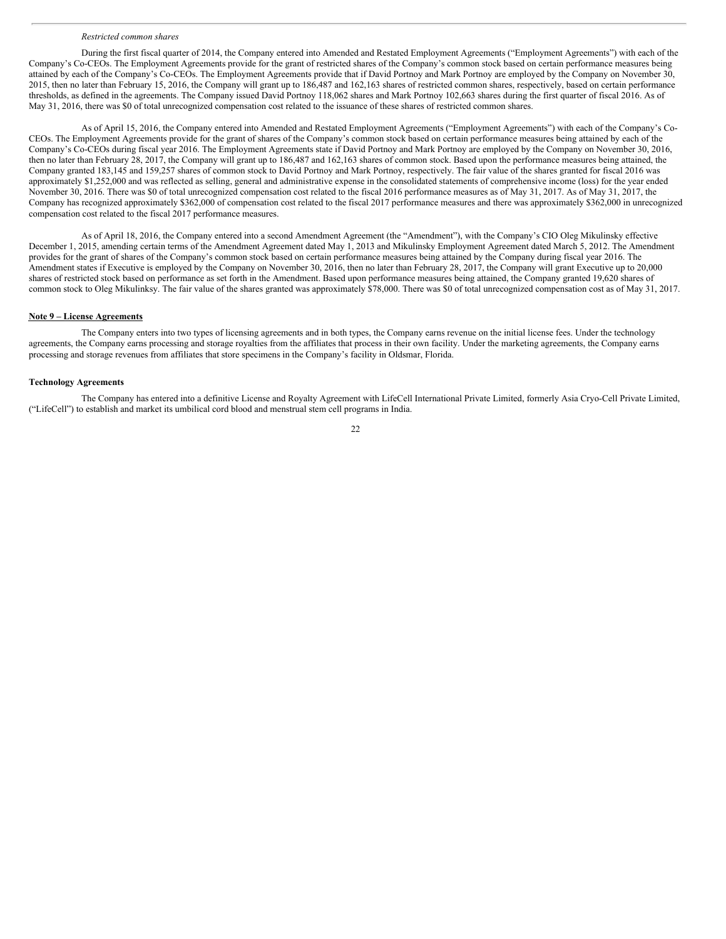#### *Restricted common shares*

During the first fiscal quarter of 2014, the Company entered into Amended and Restated Employment Agreements ("Employment Agreements") with each of the Company's Co-CEOs. The Employment Agreements provide for the grant of restricted shares of the Company's common stock based on certain performance measures being attained by each of the Company's Co-CEOs. The Employment Agreements provide that if David Portnoy and Mark Portnoy are employed by the Company on November 30, 2015, then no later than February 15, 2016, the Company will grant up to 186,487 and 162,163 shares of restricted common shares, respectively, based on certain performance thresholds, as defined in the agreements. The Company issued David Portnoy 118,062 shares and Mark Portnoy 102,663 shares during the first quarter of fiscal 2016. As of May 31, 2016, there was \$0 of total unrecognized compensation cost related to the issuance of these shares of restricted common shares.

As of April 15, 2016, the Company entered into Amended and Restated Employment Agreements ("Employment Agreements") with each of the Company's Co-CEOs. The Employment Agreements provide for the grant of shares of the Company's common stock based on certain performance measures being attained by each of the Company's Co-CEOs during fiscal year 2016. The Employment Agreements state if David Portnoy and Mark Portnoy are employed by the Company on November 30, 2016, then no later than February 28, 2017, the Company will grant up to 186,487 and 162,163 shares of common stock. Based upon the performance measures being attained, the Company granted 183,145 and 159,257 shares of common stock to David Portnoy and Mark Portnoy, respectively. The fair value of the shares granted for fiscal 2016 was approximately \$1,252,000 and was reflected as selling, general and administrative expense in the consolidated statements of comprehensive income (loss) for the year ended November 30, 2016. There was \$0 of total unrecognized compensation cost related to the fiscal 2016 performance measures as of May 31, 2017. As of May 31, 2017, the Company has recognized approximately \$362,000 of compensation cost related to the fiscal 2017 performance measures and there was approximately \$362,000 in unrecognized compensation cost related to the fiscal 2017 performance measures.

As of April 18, 2016, the Company entered into a second Amendment Agreement (the "Amendment"), with the Company's CIO Oleg Mikulinsky effective December 1, 2015, amending certain terms of the Amendment Agreement dated May 1, 2013 and Mikulinsky Employment Agreement dated March 5, 2012. The Amendment provides for the grant of shares of the Company's common stock based on certain performance measures being attained by the Company during fiscal year 2016. The Amendment states if Executive is employed by the Company on November 30, 2016, then no later than February 28, 2017, the Company will grant Executive up to 20,000 shares of restricted stock based on performance as set forth in the Amendment. Based upon performance measures being attained, the Company granted 19,620 shares of common stock to Oleg Mikulinksy. The fair value of the shares granted was approximately \$78,000. There was \$0 of total unrecognized compensation cost as of May 31, 2017.

#### **Note 9 – License Agreements**

The Company enters into two types of licensing agreements and in both types, the Company earns revenue on the initial license fees. Under the technology agreements, the Company earns processing and storage royalties from the affiliates that process in their own facility. Under the marketing agreements, the Company earns processing and storage revenues from affiliates that store specimens in the Company's facility in Oldsmar, Florida.

#### **Technology Agreements**

The Company has entered into a definitive License and Royalty Agreement with LifeCell International Private Limited, formerly Asia Cryo-Cell Private Limited, ("LifeCell") to establish and market its umbilical cord blood and menstrual stem cell programs in India.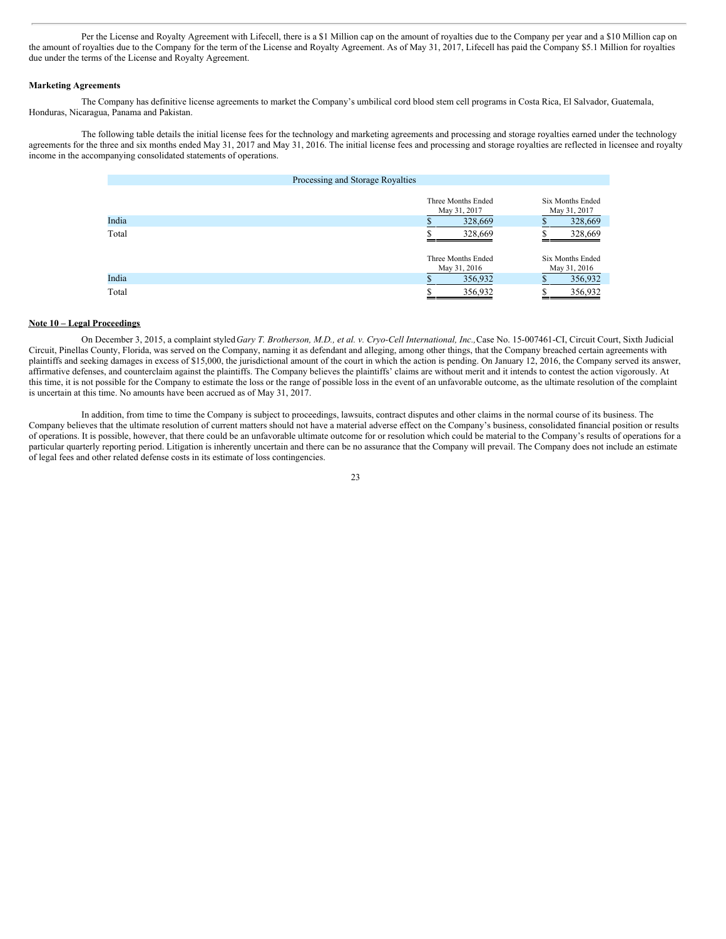Per the License and Royalty Agreement with Lifecell, there is a \$1 Million cap on the amount of royalties due to the Company per year and a \$10 Million cap on the amount of royalties due to the Company for the term of the License and Royalty Agreement. As of May 31, 2017, Lifecell has paid the Company \$5.1 Million for royalties due under the terms of the License and Royalty Agreement.

#### **Marketing Agreements**

The Company has definitive license agreements to market the Company's umbilical cord blood stem cell programs in Costa Rica, El Salvador, Guatemala, Honduras, Nicaragua, Panama and Pakistan.

The following table details the initial license fees for the technology and marketing agreements and processing and storage royalties earned under the technology agreements for the three and six months ended May 31, 2017 and May 31, 2016. The initial license fees and processing and storage royalties are reflected in licensee and royalty income in the accompanying consolidated statements of operations.

|       | Processing and Storage Royalties   |                                  |
|-------|------------------------------------|----------------------------------|
|       | Three Months Ended<br>May 31, 2017 | Six Months Ended<br>May 31, 2017 |
| India | 328,669                            | 328,669                          |
| Total | 328,669                            | 328,669                          |
|       | Three Months Ended<br>May 31, 2016 | Six Months Ended<br>May 31, 2016 |
| India | 356,932                            | 356,932                          |
| Total | 356,932                            | 356,932                          |

#### **Note 10 – Legal Proceedings**

On December 3, 2015, a complaint styled Gary T. Brotherson, M.D., et al. v. Cryo-Cell International, Inc., Case No. 15-007461-CI, Circuit Court, Sixth Judicial Circuit, Pinellas County, Florida, was served on the Company, naming it as defendant and alleging, among other things, that the Company breached certain agreements with plaintiffs and seeking damages in excess of \$15,000, the jurisdictional amount of the court in which the action is pending. On January 12, 2016, the Company served its answer, affirmative defenses, and counterclaim against the plaintiffs. The Company believes the plaintiffs' claims are without merit and it intends to contest the action vigorously. At this time, it is not possible for the Company to estimate the loss or the range of possible loss in the event of an unfavorable outcome, as the ultimate resolution of the complaint is uncertain at this time. No amounts have been accrued as of May 31, 2017.

In addition, from time to time the Company is subject to proceedings, lawsuits, contract disputes and other claims in the normal course of its business. The Company believes that the ultimate resolution of current matters should not have a material adverse effect on the Company's business, consolidated financial position or results of operations. It is possible, however, that there could be an unfavorable ultimate outcome for or resolution which could be material to the Company's results of operations for a particular quarterly reporting period. Litigation is inherently uncertain and there can be no assurance that the Company will prevail. The Company does not include an estimate of legal fees and other related defense costs in its estimate of loss contingencies.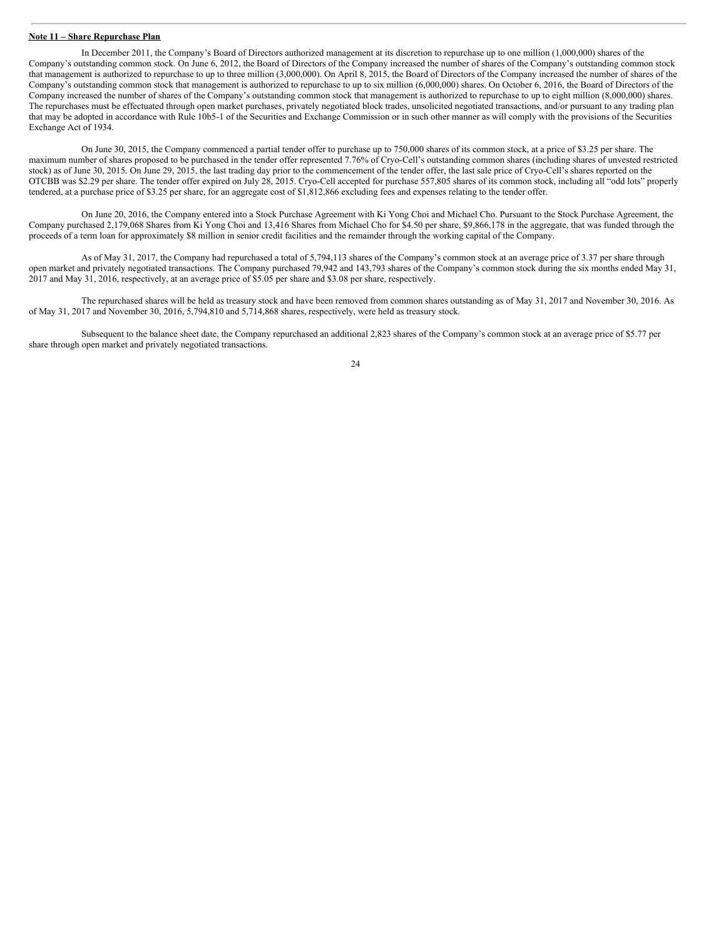#### **Note 11 – Share Repurchase Plan**

In December 2011, the Company's Board of Directors authorized management at its discretion to repurchase up to one million (1,000,000) shares of the Company's outstanding common stock. On June 6, 2012, the Board of Directors of the Company increased the number of shares of the Company's outstanding common stock that management is authorized to repurchase to up to three million (3,000,000). On April 8, 2015, the Board of Directors of the Company increased the number of shares of the Company's outstanding common stock that management is authorized to repurchase to up to six million (6,000,000) shares. On October 6, 2016, the Board of Directors of the Company increased the number of shares of the Company's outstanding common stock that management is authorized to repurchase to up to eight million (8,000,000) shares. The repurchases must be effectuated through open market purchases, privately negotiated block trades, unsolicited negotiated transactions, and/or pursuant to any trading plan that may be adopted in accordance with Rule 10b5-1 of the Securities and Exchange Commission or in such other manner as will comply with the provisions of the Securities Exchange Act of 1934.

On June 30, 2015, the Company commenced a partial tender offer to purchase up to 750,000 shares of its common stock, at a price of \$3.25 per share. The maximum number of shares proposed to be purchased in the tender offer represented 7.76% of Cryo-Cell's outstanding common shares (including shares of unvested restricted stock) as of June 30, 2015. On June 29, 2015, the last trading day prior to the commencement of the tender offer, the last sale price of Cryo-Cell's shares reported on the OTCBB was \$2.29 per share. The tender offer expired on July 28, 2015. Cryo-Cell accepted for purchase 557,805 shares of its common stock, including all "odd lots" properly tendered, at a purchase price of \$3.25 per share, for an aggregate cost of \$1,812,866 excluding fees and expenses relating to the tender offer.

On June 20, 2016, the Company entered into a Stock Purchase Agreement with Ki Yong Choi and Michael Cho. Pursuant to the Stock Purchase Agreement, the Company purchased 2,179,068 Shares from Ki Yong Choi and 13,416 Shares from Michael Cho for \$4.50 per share, \$9,866,178 in the aggregate, that was funded through the proceeds of a term loan for approximately \$8 million in senior credit facilities and the remainder through the working capital of the Company.

As of May 31, 2017, the Company had repurchased a total of 5,794,113 shares of the Company's common stock at an average price of 3.37 per share through open market and privately negotiated transactions. The Company purchased 79,942 and 143,793 shares of the Company's common stock during the six months ended May 31, 2017 and May 31, 2016, respectively, at an average price of \$5.05 per share and \$3.08 per share, respectively.

The repurchased shares will be held as treasury stock and have been removed from common shares outstanding as of May 31, 2017 and November 30, 2016. As of May 31, 2017 and November 30, 2016, 5,794,810 and 5,714,868 shares, respectively, were held as treasury stock.

Subsequent to the balance sheet date, the Company repurchased an additional 2,823 shares of the Company's common stock at an average price of \$5.77 per share through open market and privately negotiated transactions.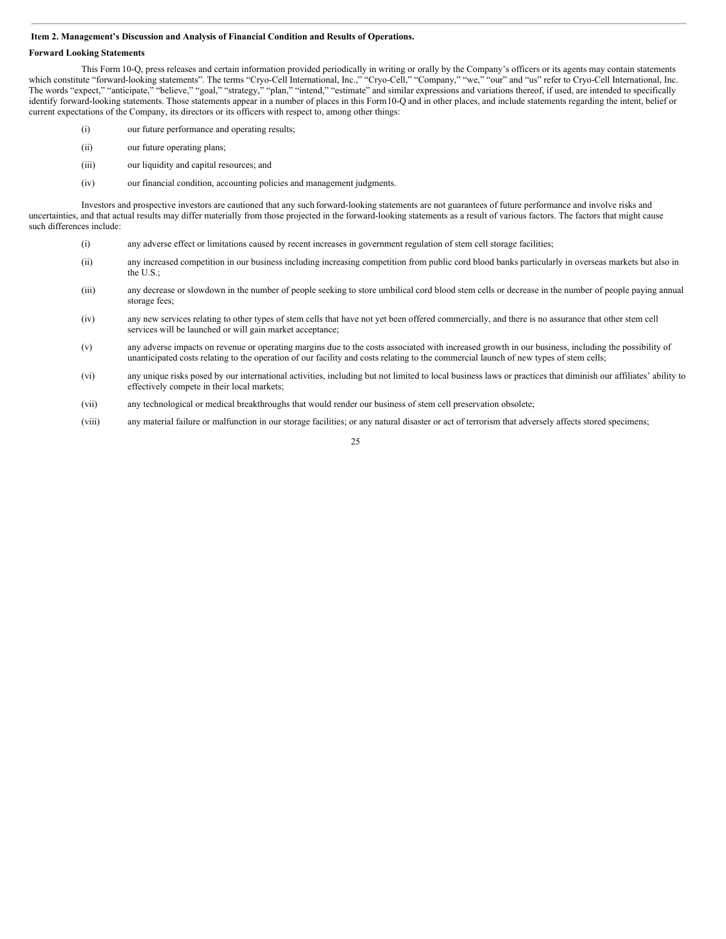#### <span id="page-24-0"></span>**Item 2. Management's Discussion and Analysis of Financial Condition and Results of Operations.**

#### **Forward Looking Statements**

This Form 10-Q, press releases and certain information provided periodically in writing or orally by the Company's officers or its agents may contain statements which constitute "forward-looking statements". The terms "Cryo-Cell International, Inc.," "Cryo-Cell," "Company," "we," "our" and "us" refer to Cryo-Cell International, Inc. The words "expect," "anticipate," "believe," "goal," "strategy," "plan," "intend," "estimate" and similar expressions and variations thereof, if used, are intended to specifically identify forward-looking statements. Those statements appear in a number of places in this Form10-Q and in other places, and include statements regarding the intent, belief or current expectations of the Company, its directors or its officers with respect to, among other things:

- (i) our future performance and operating results;
- (ii) our future operating plans;
- (iii) our liquidity and capital resources; and
- (iv) our financial condition, accounting policies and management judgments.

Investors and prospective investors are cautioned that any such forward-looking statements are not guarantees of future performance and involve risks and uncertainties, and that actual results may differ materially from those projected in the forward-looking statements as a result of various factors. The factors that might cause such differences include:

- (i) any adverse effect or limitations caused by recent increases in government regulation of stem cell storage facilities;
- (ii) any increased competition in our business including increasing competition from public cord blood banks particularly in overseas markets but also in the U.S.;
- (iii) any decrease or slowdown in the number of people seeking to store umbilical cord blood stem cells or decrease in the number of people paying annual storage fees;
- (iv) any new services relating to other types of stem cells that have not yet been offered commercially, and there is no assurance that other stem cell services will be launched or will gain market acceptance;
- (v) any adverse impacts on revenue or operating margins due to the costs associated with increased growth in our business, including the possibility of unanticipated costs relating to the operation of our facility and costs relating to the commercial launch of new types of stem cells;
- (vi) any unique risks posed by our international activities, including but not limited to local business laws or practices that diminish our affiliates' ability to effectively compete in their local markets;
- (vii) any technological or medical breakthroughs that would render our business of stem cell preservation obsolete;
- (viii) any material failure or malfunction in our storage facilities; or any natural disaster or act of terrorism that adversely affects stored specimens;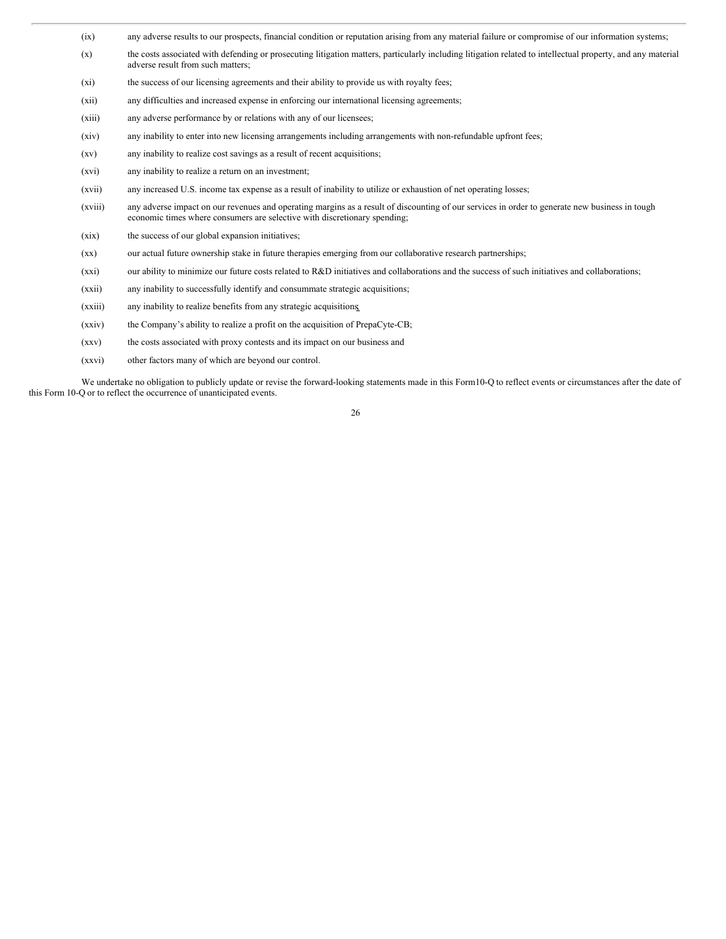- (ix) any adverse results to our prospects, financial condition or reputation arising from any material failure or compromise of our information systems;
- (x) the costs associated with defending or prosecuting litigation matters, particularly including litigation related to intellectual property, and any material adverse result from such matters;
- (xi) the success of our licensing agreements and their ability to provide us with royalty fees;
- (xii) any difficulties and increased expense in enforcing our international licensing agreements;
- (xiii) any adverse performance by or relations with any of our licensees;
- (xiv) any inability to enter into new licensing arrangements including arrangements with non-refundable upfront fees;
- (xv) any inability to realize cost savings as a result of recent acquisitions;
- (xvi) any inability to realize a return on an investment;
- (xvii) any increased U.S. income tax expense as a result of inability to utilize or exhaustion of net operating losses;
- (xviii) any adverse impact on our revenues and operating margins as a result of discounting of our services in order to generate new business in tough economic times where consumers are selective with discretionary spending;
- (xix) the success of our global expansion initiatives;
- (xx) our actual future ownership stake in future therapies emerging from our collaborative research partnerships;
- (xxi) our ability to minimize our future costs related to R&D initiatives and collaborations and the success of such initiatives and collaborations;
- (xxii) any inability to successfully identify and consummate strategic acquisitions;
- (xxiii) any inability to realize benefits from any strategic acquisitions;
- (xxiv) the Company's ability to realize a profit on the acquisition of PrepaCyte-CB;
- (xxv) the costs associated with proxy contests and its impact on our business and
- (xxvi) other factors many of which are beyond our control.

We undertake no obligation to publicly update or revise the forward-looking statements made in this Form10-Q to reflect events or circumstances after the date of this Form 10-Q or to reflect the occurrence of unanticipated events.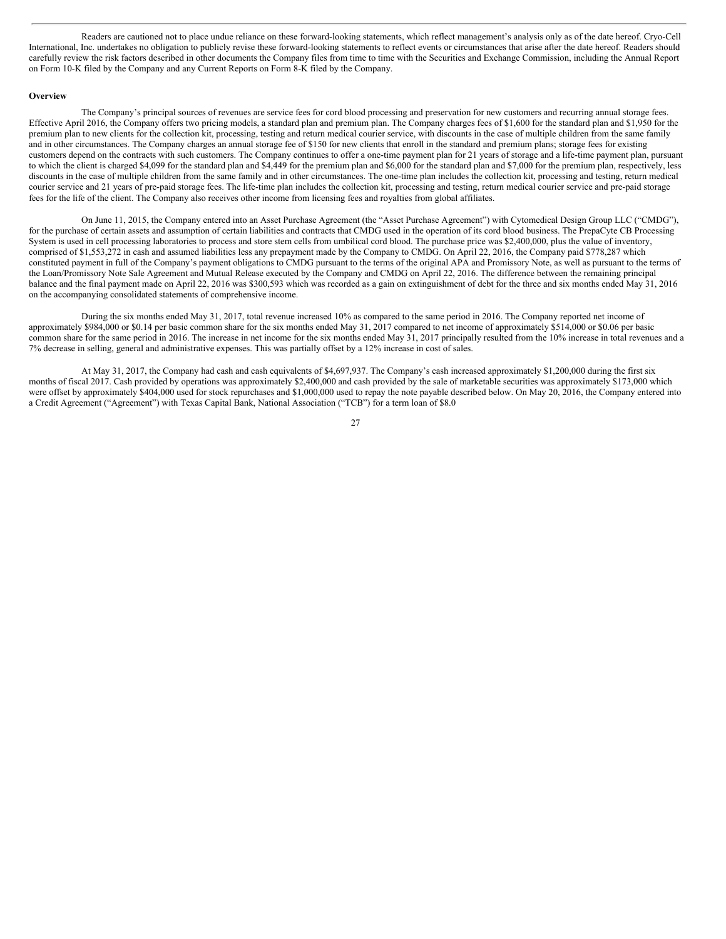Readers are cautioned not to place undue reliance on these forward-looking statements, which reflect management's analysis only as of the date hereof. Cryo-Cell International, Inc. undertakes no obligation to publicly revise these forward-looking statements to reflect events or circumstances that arise after the date hereof. Readers should carefully review the risk factors described in other documents the Company files from time to time with the Securities and Exchange Commission, including the Annual Report on Form 10-K filed by the Company and any Current Reports on Form 8-K filed by the Company.

#### **Overview**

The Company's principal sources of revenues are service fees for cord blood processing and preservation for new customers and recurring annual storage fees. Effective April 2016, the Company offers two pricing models, a standard plan and premium plan. The Company charges fees of \$1,600 for the standard plan and \$1,950 for the premium plan to new clients for the collection kit, processing, testing and return medical courier service, with discounts in the case of multiple children from the same family and in other circumstances. The Company charges an annual storage fee of \$150 for new clients that enroll in the standard and premium plans; storage fees for existing customers depend on the contracts with such customers. The Company continues to offer a one-time payment plan for 21 years of storage and a life-time payment plan, pursuant to which the client is charged \$4,099 for the standard plan and \$4,449 for the premium plan and \$6,000 for the standard plan and \$7,000 for the premium plan, respectively, less discounts in the case of multiple children from the same family and in other circumstances. The one-time plan includes the collection kit, processing and testing, return medical courier service and 21 years of pre-paid storage fees. The life-time plan includes the collection kit, processing and testing, return medical courier service and pre-paid storage fees for the life of the client. The Company also receives other income from licensing fees and royalties from global affiliates.

On June 11, 2015, the Company entered into an Asset Purchase Agreement (the "Asset Purchase Agreement") with Cytomedical Design Group LLC ("CMDG"), for the purchase of certain assets and assumption of certain liabilities and contracts that CMDG used in the operation of its cord blood business. The PrepaCyte CB Processing System is used in cell processing laboratories to process and store stem cells from umbilical cord blood. The purchase price was \$2,400,000, plus the value of inventory, comprised of \$1,553,272 in cash and assumed liabilities less any prepayment made by the Company to CMDG. On April 22, 2016, the Company paid \$778,287 which constituted payment in full of the Company's payment obligations to CMDG pursuant to the terms of the original APA and Promissory Note, as well as pursuant to the terms of the Loan/Promissory Note Sale Agreement and Mutual Release executed by the Company and CMDG on April 22, 2016. The difference between the remaining principal balance and the final payment made on April 22, 2016 was \$300,593 which was recorded as a gain on extinguishment of debt for the three and six months ended May 31, 2016 on the accompanying consolidated statements of comprehensive income.

During the six months ended May 31, 2017, total revenue increased 10% as compared to the same period in 2016. The Company reported net income of approximately \$984,000 or \$0.14 per basic common share for the six months ended May 31, 2017 compared to net income of approximately \$514,000 or \$0.06 per basic common share for the same period in 2016. The increase in net income for the six months ended May 31, 2017 principally resulted from the 10% increase in total revenues and a 7% decrease in selling, general and administrative expenses. This was partially offset by a 12% increase in cost of sales.

At May 31, 2017, the Company had cash and cash equivalents of \$4,697,937. The Company's cash increased approximately \$1,200,000 during the first six months of fiscal 2017. Cash provided by operations was approximately \$2,400,000 and cash provided by the sale of marketable securities was approximately \$173,000 which were offset by approximately \$404,000 used for stock repurchases and \$1,000,000 used to repay the note payable described below. On May 20, 2016, the Company entered into a Credit Agreement ("Agreement") with Texas Capital Bank, National Association ("TCB") for a term loan of \$8.0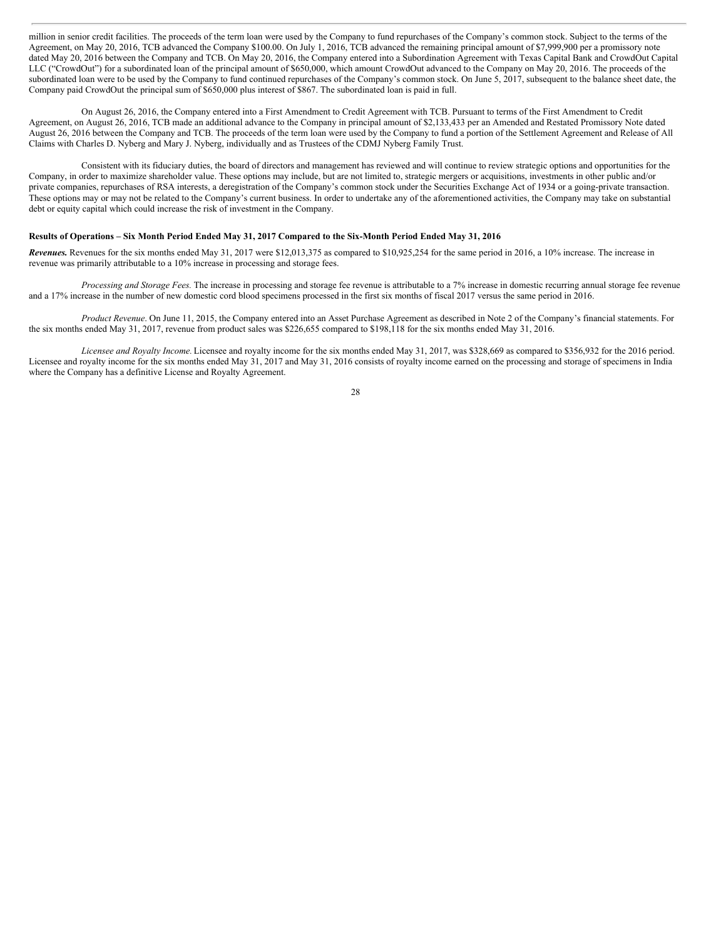million in senior credit facilities. The proceeds of the term loan were used by the Company to fund repurchases of the Company's common stock. Subject to the terms of the Agreement, on May 20, 2016, TCB advanced the Company \$100.00. On July 1, 2016, TCB advanced the remaining principal amount of \$7,999,900 per a promissory note dated May 20, 2016 between the Company and TCB. On May 20, 2016, the Company entered into a Subordination Agreement with Texas Capital Bank and CrowdOut Capital LLC ("CrowdOut") for a subordinated loan of the principal amount of \$650,000, which amount CrowdOut advanced to the Company on May 20, 2016. The proceeds of the subordinated loan were to be used by the Company to fund continued repurchases of the Company's common stock. On June 5, 2017, subsequent to the balance sheet date, the Company paid CrowdOut the principal sum of \$650,000 plus interest of \$867. The subordinated loan is paid in full.

On August 26, 2016, the Company entered into a First Amendment to Credit Agreement with TCB. Pursuant to terms of the First Amendment to Credit Agreement, on August 26, 2016, TCB made an additional advance to the Company in principal amount of \$2,133,433 per an Amended and Restated Promissory Note dated August 26, 2016 between the Company and TCB. The proceeds of the term loan were used by the Company to fund a portion of the Settlement Agreement and Release of All Claims with Charles D. Nyberg and Mary J. Nyberg, individually and as Trustees of the CDMJ Nyberg Family Trust.

Consistent with its fiduciary duties, the board of directors and management has reviewed and will continue to review strategic options and opportunities for the Company, in order to maximize shareholder value. These options may include, but are not limited to, strategic mergers or acquisitions, investments in other public and/or private companies, repurchases of RSA interests, a deregistration of the Company's common stock under the Securities Exchange Act of 1934 or a going-private transaction. These options may or may not be related to the Company's current business. In order to undertake any of the aforementioned activities, the Company may take on substantial debt or equity capital which could increase the risk of investment in the Company.

#### Results of Operations - Six Month Period Ended May 31, 2017 Compared to the Six-Month Period Ended May 31, 2016

*Revenues.* Revenues for the six months ended May 31, 2017 were \$12,013,375 as compared to \$10,925,254 for the same period in 2016, a 10% increase. The increase in revenue was primarily attributable to a 10% increase in processing and storage fees.

*Processing and Storage Fees.* The increase in processing and storage fee revenue is attributable to a 7% increase in domestic recurring annual storage fee revenue and a 17% increase in the number of new domestic cord blood specimens processed in the first six months of fiscal 2017 versus the same period in 2016.

*Product Revenue*. On June 11, 2015, the Company entered into an Asset Purchase Agreement as described in Note 2 of the Company's financial statements. For the six months ended May 31, 2017, revenue from product sales was \$226,655 compared to \$198,118 for the six months ended May 31, 2016.

*Licensee and Royalty Income.* Licensee and royalty income for the six months ended May 31, 2017, was \$328,669 as compared to \$356,932 for the 2016 period. Licensee and royalty income for the six months ended May 31, 2017 and May 31, 2016 consists of royalty income earned on the processing and storage of specimens in India where the Company has a definitive License and Royalty Agreement.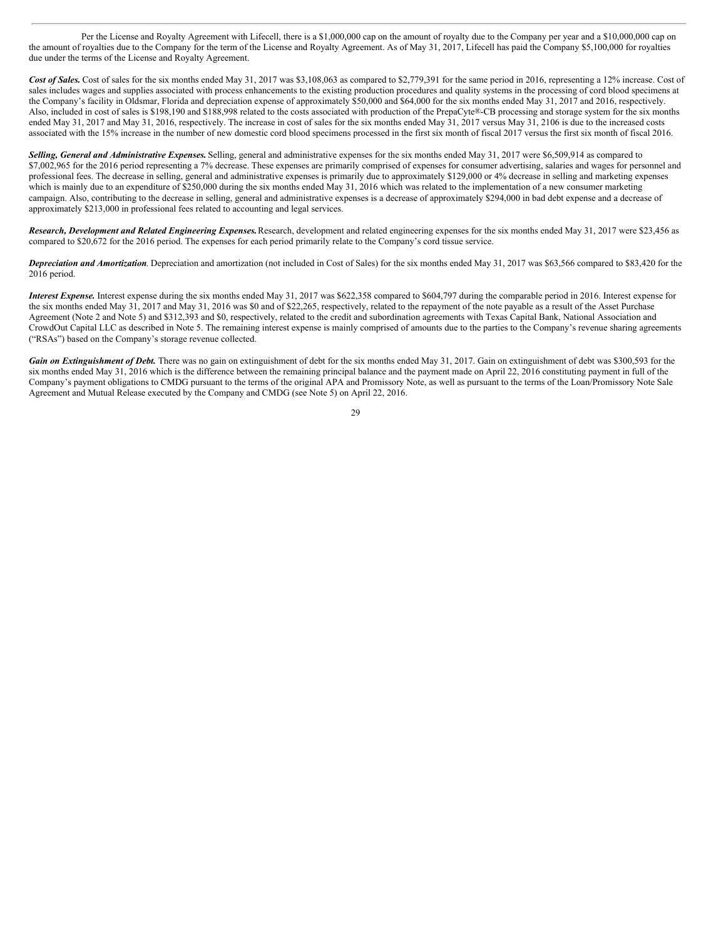Per the License and Royalty Agreement with Lifecell, there is a \$1,000,000 cap on the amount of royalty due to the Company per year and a \$10,000,000 cap on the amount of royalties due to the Company for the term of the License and Royalty Agreement. As of May 31, 2017, Lifecell has paid the Company \$5,100,000 for royalties due under the terms of the License and Royalty Agreement.

Cost of Sales. Cost of sales for the six months ended May 31, 2017 was \$3,108,063 as compared to \$2,779,391 for the same period in 2016, representing a 12% increase. Cost of sales includes wages and supplies associated with process enhancements to the existing production procedures and quality systems in the processing of cord blood specimens at the Company's facility in Oldsmar, Florida and depreciation expense of approximately \$50,000 and \$64,000 for the six months ended May 31, 2017 and 2016, respectively. Also, included in cost of sales is \$198,190 and \$188,998 related to the costs associated with production of the PrepaCyte®-CB processing and storage system for the six months ended May 31, 2017 and May 31, 2016, respectively. The increase in cost of sales for the six months ended May  $31$ , 2017 versus May 31, 2106 is due to the increased costs associated with the 15% increase in the number of new domestic cord blood specimens processed in the first six month of fiscal 2017 versus the first six month of fiscal 2016.

*Selling, General and Administrative Expenses.* Selling, general and administrative expenses for the six months ended May 31, 2017 were \$6,509,914 as compared to \$7,002,965 for the 2016 period representing a 7% decrease. These expenses are primarily comprised of expenses for consumer advertising, salaries and wages for personnel and professional fees. The decrease in selling, general and administrative expenses is primarily due to approximately \$129,000 or 4% decrease in selling and marketing expenses which is mainly due to an expenditure of \$250,000 during the six months ended May 31, 2016 which was related to the implementation of a new consumer marketing campaign. Also, contributing to the decrease in selling, general and administrative expenses is a decrease of approximately \$294,000 in bad debt expense and a decrease of approximately \$213,000 in professional fees related to accounting and legal services.

*Research, Development and Related Engineering Expenses.*Research, development and related engineering expenses for the six months ended May 31, 2017 were \$23,456 as compared to \$20,672 for the 2016 period. The expenses for each period primarily relate to the Company's cord tissue service.

*Depreciation and Amortization*. Depreciation and amortization (not included in Cost of Sales) for the six months ended May 31, 2017 was \$63,566 compared to \$83,420 for the 2016 period.

*Interest Expense.* Interest expense during the six months ended May 31, 2017 was \$622,358 compared to \$604,797 during the comparable period in 2016. Interest expense for the six months ended May 31, 2017 and May 31, 2016 was \$0 and of \$22,265, respectively, related to the repayment of the note payable as a result of the Asset Purchase Agreement (Note 2 and Note 5) and \$312,393 and \$0, respectively, related to the credit and subordination agreements with Texas Capital Bank, National Association and CrowdOut Capital LLC as described in Note 5. The remaining interest expense is mainly comprised of amounts due to the parties to the Company's revenue sharing agreements ("RSAs") based on the Company's storage revenue collected.

Gain on Extinguishment of Debt. There was no gain on extinguishment of debt for the six months ended May 31, 2017. Gain on extinguishment of debt was \$300,593 for the six months ended May 31, 2016 which is the difference between the remaining principal balance and the payment made on April 22, 2016 constituting payment in full of the Company's payment obligations to CMDG pursuant to the terms of the original APA and Promissory Note, as well as pursuant to the terms of the Loan/Promissory Note Sale Agreement and Mutual Release executed by the Company and CMDG (see Note 5) on April 22, 2016.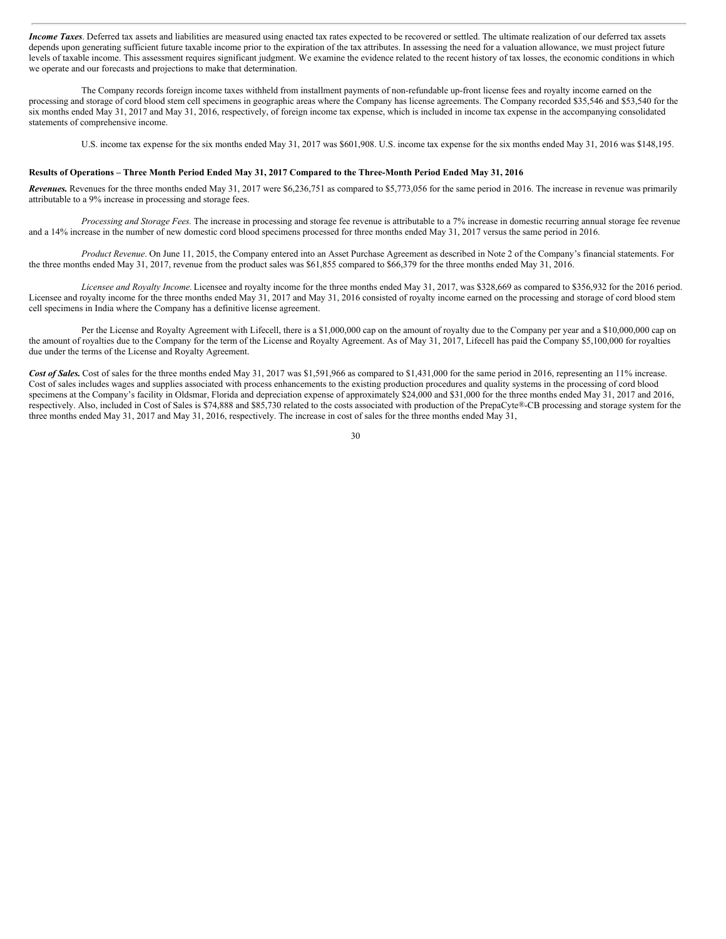*Income Taxes*. Deferred tax assets and liabilities are measured using enacted tax rates expected to be recovered or settled. The ultimate realization of our deferred tax assets depends upon generating sufficient future taxable income prior to the expiration of the tax attributes. In assessing the need for a valuation allowance, we must project future levels of taxable income. This assessment requires significant judgment. We examine the evidence related to the recent history of tax losses, the economic conditions in which we operate and our forecasts and projections to make that determination.

The Company records foreign income taxes withheld from installment payments of non-refundable up-front license fees and royalty income earned on the processing and storage of cord blood stem cell specimens in geographic areas where the Company has license agreements. The Company recorded \$35,546 and \$53,540 for the six months ended May 31, 2017 and May 31, 2016, respectively, of foreign income tax expense, which is included in income tax expense in the accompanying consolidated statements of comprehensive income.

U.S. income tax expense for the six months ended May 31, 2017 was \$601,908. U.S. income tax expense for the six months ended May 31, 2016 was \$148,195.

#### Results of Operations - Three Month Period Ended May 31, 2017 Compared to the Three-Month Period Ended May 31, 2016

*Revenues.* Revenues for the three months ended May 31, 2017 were \$6,236,751 as compared to \$5,773,056 for the same period in 2016. The increase in revenue was primarily attributable to a 9% increase in processing and storage fees.

*Processing and Storage Fees.* The increase in processing and storage fee revenue is attributable to a 7% increase in domestic recurring annual storage fee revenue and a 14% increase in the number of new domestic cord blood specimens processed for three months ended May 31, 2017 versus the same period in 2016.

*Product Revenue*. On June 11, 2015, the Company entered into an Asset Purchase Agreement as described in Note 2 of the Company's financial statements. For the three months ended May 31, 2017, revenue from the product sales was \$61,855 compared to \$66,379 for the three months ended May 31, 2016.

*Licensee and Royalty Income.* Licensee and royalty income for the three months ended May 31, 2017, was \$328,669 as compared to \$356,932 for the 2016 period. Licensee and royalty income for the three months ended May 31, 2017 and May 31, 2016 consisted of royalty income earned on the processing and storage of cord blood stem cell specimens in India where the Company has a definitive license agreement.

Per the License and Royalty Agreement with Lifecell, there is a \$1,000,000 cap on the amount of royalty due to the Company per year and a \$10,000,000 cap on the amount of royalties due to the Company for the term of the License and Royalty Agreement. As of May 31, 2017, Lifecell has paid the Company \$5,100,000 for royalties due under the terms of the License and Royalty Agreement.

*Cost of Sales.* Cost of sales for the three months ended May 31, 2017 was \$1,591,966 as compared to \$1,431,000 for the same period in 2016, representing an 11% increase. Cost of sales includes wages and supplies associated with process enhancements to the existing production procedures and quality systems in the processing of cord blood specimens at the Company's facility in Oldsmar, Florida and depreciation expense of approximately \$24,000 and \$31,000 for the three months ended May 31, 2017 and 2016, respectively. Also, included in Cost of Sales is \$74,888 and \$85,730 related to the costs associated with production of the PrepaCyte®-CB processing and storage system for the three months ended May 31, 2017 and May 31, 2016, respectively. The increase in cost of sales for the three months ended May 31,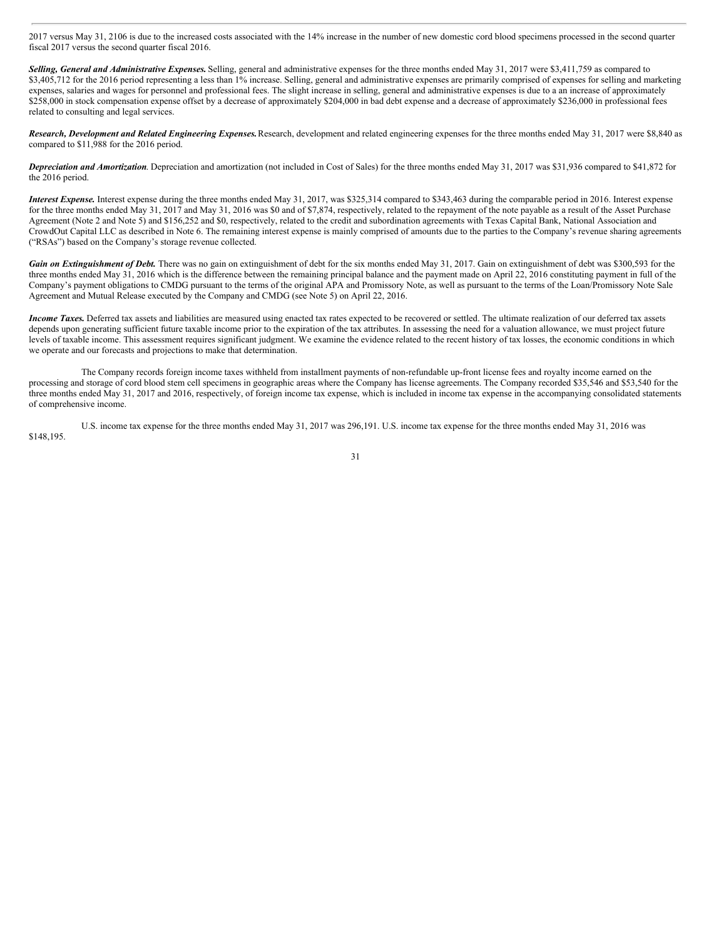2017 versus May 31, 2106 is due to the increased costs associated with the 14% increase in the number of new domestic cord blood specimens processed in the second quarter fiscal 2017 versus the second quarter fiscal 2016.

*Selling, General and Administrative Expenses.* Selling, general and administrative expenses for the three months ended May 31, 2017 were \$3,411,759 as compared to \$3,405,712 for the 2016 period representing a less than 1% increase. Selling, general and administrative expenses are primarily comprised of expenses for selling and marketing expenses, salaries and wages for personnel and professional fees. The slight increase in selling, general and administrative expenses is due to a an increase of approximately \$258,000 in stock compensation expense offset by a decrease of approximately \$204,000 in bad debt expense and a decrease of approximately \$236,000 in professional fees related to consulting and legal services.

*Research, Development and Related Engineering Expenses.*Research, development and related engineering expenses for the three months ended May 31, 2017 were \$8,840 as compared to \$11,988 for the 2016 period.

*Depreciation and Amortization*. Depreciation and amortization (not included in Cost of Sales) for the three months ended May 31, 2017 was \$31,936 compared to \$41,872 for the 2016 period.

*Interest Expense.* Interest expense during the three months ended May 31, 2017, was \$325,314 compared to \$343,463 during the comparable period in 2016. Interest expense for the three months ended May 31, 2017 and May 31, 2016 was \$0 and of \$7,874, respectively, related to the repayment of the note payable as a result of the Asset Purchase Agreement (Note 2 and Note 5) and \$156,252 and \$0, respectively, related to the credit and subordination agreements with Texas Capital Bank, National Association and CrowdOut Capital LLC as described in Note 6. The remaining interest expense is mainly comprised of amounts due to the parties to the Company's revenue sharing agreements ("RSAs") based on the Company's storage revenue collected.

*Gain on Extinguishment of Debt.* There was no gain on extinguishment of debt for the six months ended May 31, 2017. Gain on extinguishment of debt was \$300,593 for the three months ended May 31, 2016 which is the difference between the remaining principal balance and the payment made on April 22, 2016 constituting payment in full of the Company's payment obligations to CMDG pursuant to the terms of the original APA and Promissory Note, as well as pursuant to the terms of the Loan/Promissory Note Sale Agreement and Mutual Release executed by the Company and CMDG (see Note 5) on April 22, 2016.

*Income Taxes.* Deferred tax assets and liabilities are measured using enacted tax rates expected to be recovered or settled. The ultimate realization of our deferred tax assets depends upon generating sufficient future taxable income prior to the expiration of the tax attributes. In assessing the need for a valuation allowance, we must project future levels of taxable income. This assessment requires significant judgment. We examine the evidence related to the recent history of tax losses, the economic conditions in which we operate and our forecasts and projections to make that determination.

The Company records foreign income taxes withheld from installment payments of non-refundable up-front license fees and royalty income earned on the processing and storage of cord blood stem cell specimens in geographic areas where the Company has license agreements. The Company recorded \$35,546 and \$53,540 for the three months ended May 31, 2017 and 2016, respectively, of foreign income tax expense, which is included in income tax expense in the accompanying consolidated statements of comprehensive income.

U.S. income tax expense for the three months ended May 31, 2017 was 296,191. U.S. income tax expense for the three months ended May 31, 2016 was \$148,195.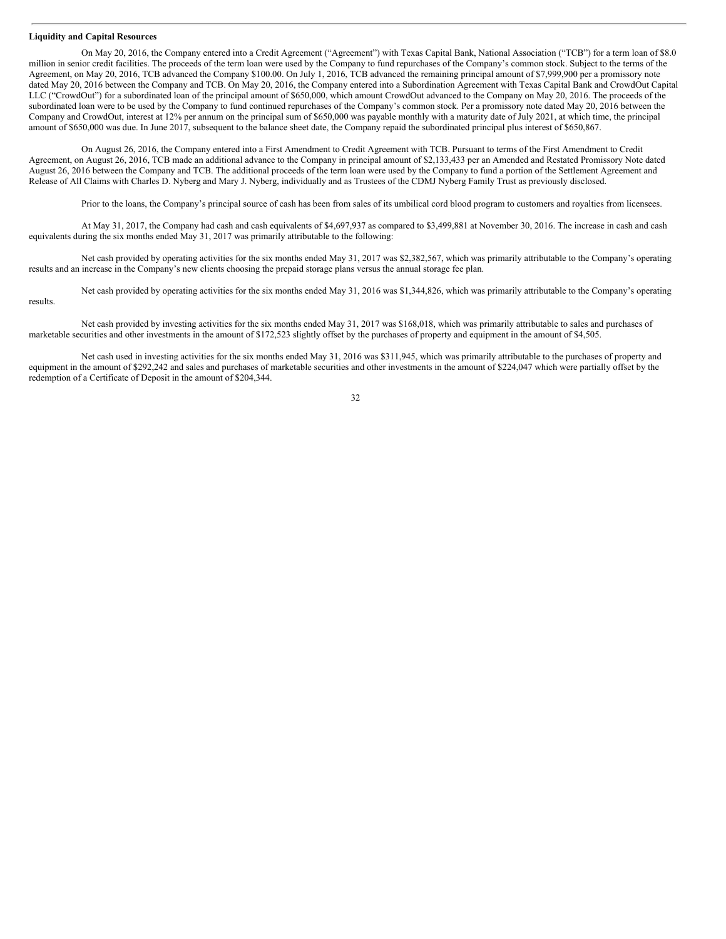#### **Liquidity and Capital Resources**

On May 20, 2016, the Company entered into a Credit Agreement ("Agreement") with Texas Capital Bank, National Association ("TCB") for a term loan of \$8.0 million in senior credit facilities. The proceeds of the term loan were used by the Company to fund repurchases of the Company's common stock. Subject to the terms of the Agreement, on May 20, 2016, TCB advanced the Company \$100.00. On July 1, 2016, TCB advanced the remaining principal amount of \$7,999,900 per a promissory note dated May 20, 2016 between the Company and TCB. On May 20, 2016, the Company entered into a Subordination Agreement with Texas Capital Bank and CrowdOut Capital LLC ("CrowdOut") for a subordinated loan of the principal amount of \$650,000, which amount CrowdOut advanced to the Company on May 20, 2016. The proceeds of the subordinated loan were to be used by the Company to fund continued repurchases of the Company's common stock. Per a promissory note dated May 20, 2016 between the Company and CrowdOut, interest at 12% per annum on the principal sum of \$650,000 was payable monthly with a maturity date of July 2021, at which time, the principal amount of \$650,000 was due. In June 2017, subsequent to the balance sheet date, the Company repaid the subordinated principal plus interest of \$650,867.

On August 26, 2016, the Company entered into a First Amendment to Credit Agreement with TCB. Pursuant to terms of the First Amendment to Credit Agreement, on August 26, 2016, TCB made an additional advance to the Company in principal amount of \$2,133,433 per an Amended and Restated Promissory Note dated August 26, 2016 between the Company and TCB. The additional proceeds of the term loan were used by the Company to fund a portion of the Settlement Agreement and Release of All Claims with Charles D. Nyberg and Mary J. Nyberg, individually and as Trustees of the CDMJ Nyberg Family Trust as previously disclosed.

Prior to the loans, the Company's principal source of cash has been from sales of its umbilical cord blood program to customers and royalties from licensees.

At May 31, 2017, the Company had cash and cash equivalents of \$4,697,937 as compared to \$3,499,881 at November 30, 2016. The increase in cash and cash equivalents during the six months ended May 31, 2017 was primarily attributable to the following:

Net cash provided by operating activities for the six months ended May 31, 2017 was \$2,382,567, which was primarily attributable to the Company's operating results and an increase in the Company's new clients choosing the prepaid storage plans versus the annual storage fee plan.

Net cash provided by operating activities for the six months ended May 31, 2016 was \$1,344,826, which was primarily attributable to the Company's operating results.

Net cash provided by investing activities for the six months ended May 31, 2017 was \$168,018, which was primarily attributable to sales and purchases of marketable securities and other investments in the amount of \$172,523 slightly offset by the purchases of property and equipment in the amount of \$4,505.

Net cash used in investing activities for the six months ended May 31, 2016 was \$311,945, which was primarily attributable to the purchases of property and equipment in the amount of \$292,242 and sales and purchases of marketable securities and other investments in the amount of \$224,047 which were partially offset by the redemption of a Certificate of Deposit in the amount of \$204,344.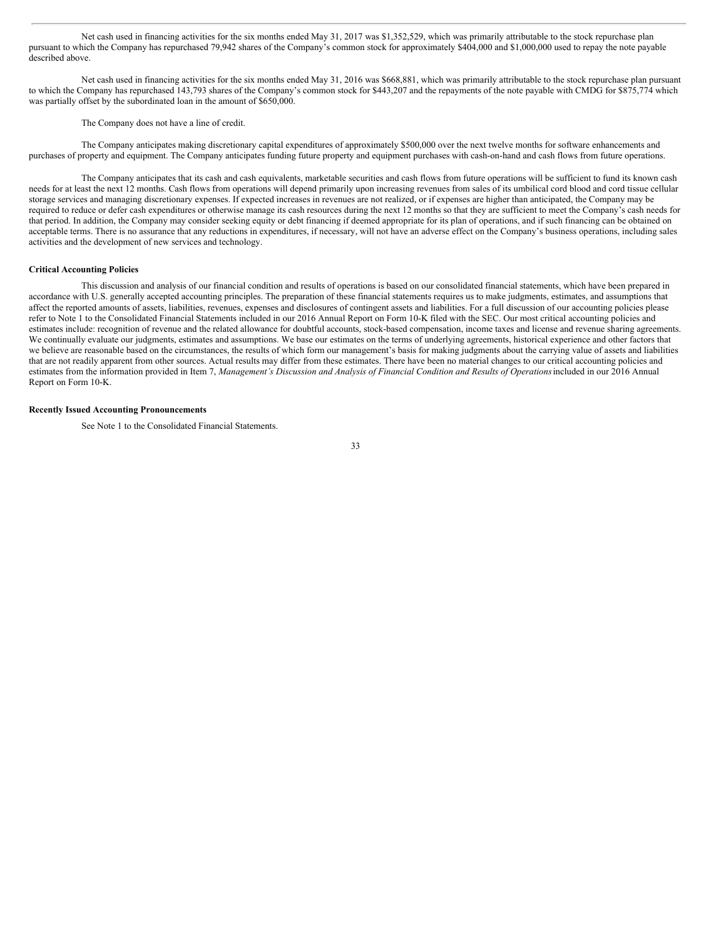Net cash used in financing activities for the six months ended May 31, 2017 was \$1,352,529, which was primarily attributable to the stock repurchase plan pursuant to which the Company has repurchased 79,942 shares of the Company's common stock for approximately \$404,000 and \$1,000,000 used to repay the note payable described above.

Net cash used in financing activities for the six months ended May 31, 2016 was \$668,881, which was primarily attributable to the stock repurchase plan pursuant to which the Company has repurchased 143,793 shares of the Company's common stock for \$443,207 and the repayments of the note payable with CMDG for \$875,774 which was partially offset by the subordinated loan in the amount of \$650,000.

The Company does not have a line of credit.

The Company anticipates making discretionary capital expenditures of approximately \$500,000 over the next twelve months for software enhancements and purchases of property and equipment. The Company anticipates funding future property and equipment purchases with cash-on-hand and cash flows from future operations.

The Company anticipates that its cash and cash equivalents, marketable securities and cash flows from future operations will be sufficient to fund its known cash needs for at least the next 12 months. Cash flows from operations will depend primarily upon increasing revenues from sales of its umbilical cord blood and cord tissue cellular storage services and managing discretionary expenses. If expected increases in revenues are not realized, or if expenses are higher than anticipated, the Company may be required to reduce or defer cash expenditures or otherwise manage its cash resources during the next 12 months so that they are sufficient to meet the Company's cash needs for that period. In addition, the Company may consider seeking equity or debt financing if deemed appropriate for its plan of operations, and if such financing can be obtained on acceptable terms. There is no assurance that any reductions in expenditures, if necessary, will not have an adverse effect on the Company's business operations, including sales activities and the development of new services and technology.

#### **Critical Accounting Policies**

This discussion and analysis of our financial condition and results of operations is based on our consolidated financial statements, which have been prepared in accordance with U.S. generally accepted accounting principles. The preparation of these financial statements requires us to make judgments, estimates, and assumptions that affect the reported amounts of assets, liabilities, revenues, expenses and disclosures of contingent assets and liabilities. For a full discussion of our accounting policies please refer to Note 1 to the Consolidated Financial Statements included in our 2016 Annual Report on Form 10-K filed with the SEC. Our most critical accounting policies and estimates include: recognition of revenue and the related allowance for doubtful accounts, stock-based compensation, income taxes and license and revenue sharing agreements. We continually evaluate our judgments, estimates and assumptions. We base our estimates on the terms of underlying agreements, historical experience and other factors that we believe are reasonable based on the circumstances, the results of which form our management's basis for making judgments about the carrying value of assets and liabilities that are not readily apparent from other sources. Actual results may differ from these estimates. There have been no material changes to our critical accounting policies and estimates from the information provided in Item 7, Management's Discussion and Analysis of Financial Condition and Results of Operations included in our 2016 Annual Report on Form 10-K.

#### **Recently Issued Accounting Pronouncements**

See Note 1 to the Consolidated Financial Statements.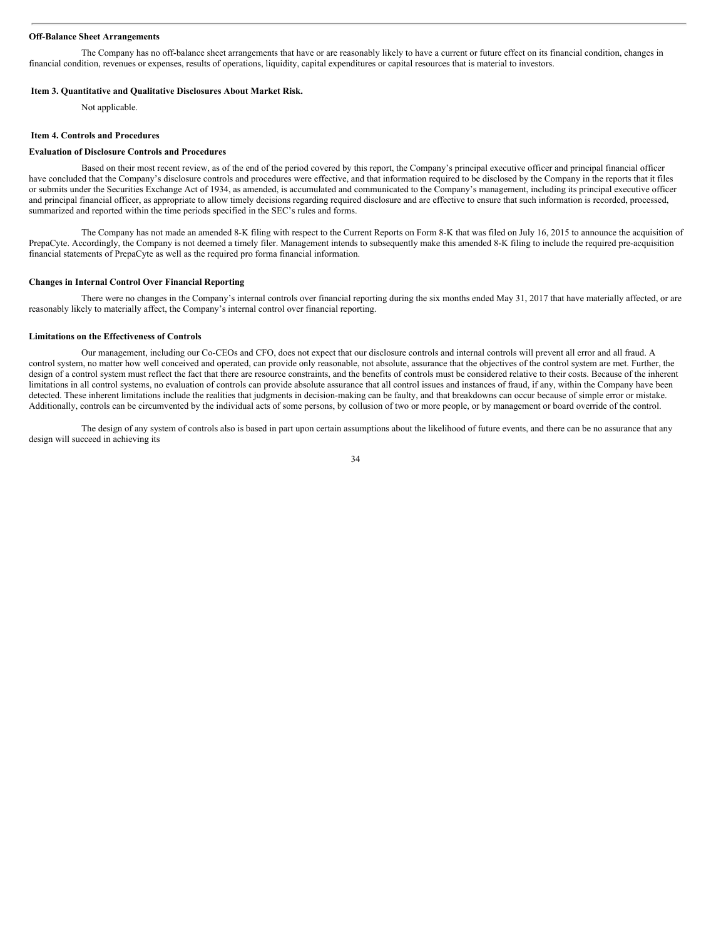#### **Off-Balance Sheet Arrangements**

The Company has no off-balance sheet arrangements that have or are reasonably likely to have a current or future effect on its financial condition, changes in financial condition, revenues or expenses, results of operations, liquidity, capital expenditures or capital resources that is material to investors.

#### <span id="page-33-0"></span>**Item 3. Quantitative and Qualitative Disclosures About Market Risk.**

Not applicable.

### <span id="page-33-1"></span>**Item 4. Controls and Procedures**

#### **Evaluation of Disclosure Controls and Procedures**

Based on their most recent review, as of the end of the period covered by this report, the Company's principal executive officer and principal financial officer have concluded that the Company's disclosure controls and procedures were effective, and that information required to be disclosed by the Company in the reports that it files or submits under the Securities Exchange Act of 1934, as amended, is accumulated and communicated to the Company's management, including its principal executive officer and principal financial officer, as appropriate to allow timely decisions regarding required disclosure and are effective to ensure that such information is recorded, processed, summarized and reported within the time periods specified in the SEC's rules and forms.

The Company has not made an amended 8-K filing with respect to the Current Reports on Form 8-K that was filed on July 16, 2015 to announce the acquisition of PrepaCyte. Accordingly, the Company is not deemed a timely filer. Management intends to subsequently make this amended 8-K filing to include the required pre-acquisition financial statements of PrepaCyte as well as the required pro forma financial information.

#### **Changes in Internal Control Over Financial Reporting**

There were no changes in the Company's internal controls over financial reporting during the six months ended May 31, 2017 that have materially affected, or are reasonably likely to materially affect, the Company's internal control over financial reporting.

#### **Limitations on the Effectiveness of Controls**

Our management, including our Co-CEOs and CFO, does not expect that our disclosure controls and internal controls will prevent all error and all fraud. A control system, no matter how well conceived and operated, can provide only reasonable, not absolute, assurance that the objectives of the control system are met. Further, the design of a control system must reflect the fact that there are resource constraints, and the benefits of controls must be considered relative to their costs. Because of the inherent limitations in all control systems, no evaluation of controls can provide absolute assurance that all control issues and instances of fraud, if any, within the Company have been detected. These inherent limitations include the realities that judgments in decision-making can be faulty, and that breakdowns can occur because of simple error or mistake. Additionally, controls can be circumvented by the individual acts of some persons, by collusion of two or more people, or by management or board override of the control.

The design of any system of controls also is based in part upon certain assumptions about the likelihood of future events, and there can be no assurance that any design will succeed in achieving its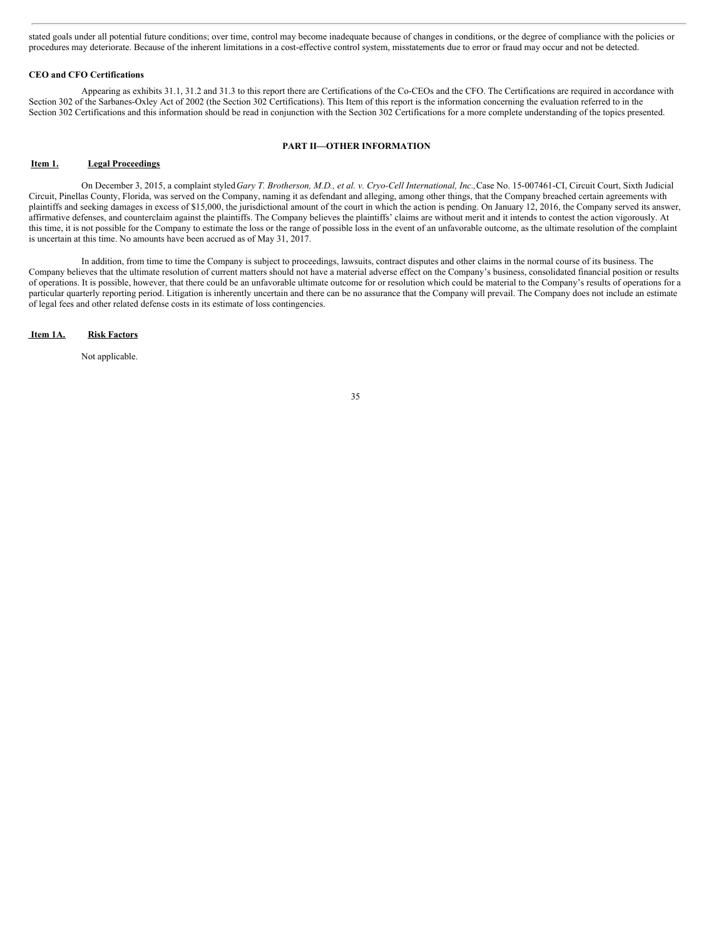stated goals under all potential future conditions; over time, control may become inadequate because of changes in conditions, or the degree of compliance with the policies or procedures may deteriorate. Because of the inherent limitations in a cost-effective control system, misstatements due to error or fraud may occur and not be detected.

#### **CEO and CFO Certifications**

Appearing as exhibits 31.1, 31.2 and 31.3 to this report there are Certifications of the Co-CEOs and the CFO. The Certifications are required in accordance with Section 302 of the Sarbanes-Oxley Act of 2002 (the Section 302 Certifications). This Item of this report is the information concerning the evaluation referred to in the Section 302 Certifications and this information should be read in conjunction with the Section 302 Certifications for a more complete understanding of the topics presented.

#### <span id="page-34-0"></span>**PART II—OTHER INFORMATION**

#### <span id="page-34-1"></span>**Item 1. Legal Proceedings**

On December 3, 2015, a complaint styled Gary T. Brotherson, M.D., et al. v. Cryo-Cell International, Inc., Case No. 15-007461-CI, Circuit Court, Sixth Judicial Circuit, Pinellas County, Florida, was served on the Company, naming it as defendant and alleging, among other things, that the Company breached certain agreements with plaintiffs and seeking damages in excess of \$15,000, the jurisdictional amount of the court in which the action is pending. On January 12, 2016, the Company served its answer, affirmative defenses, and counterclaim against the plaintiffs. The Company believes the plaintiffs' claims are without merit and it intends to contest the action vigorously. At this time, it is not possible for the Company to estimate the loss or the range of possible loss in the event of an unfavorable outcome, as the ultimate resolution of the complaint is uncertain at this time. No amounts have been accrued as of May 31, 2017.

In addition, from time to time the Company is subject to proceedings, lawsuits, contract disputes and other claims in the normal course of its business. The Company believes that the ultimate resolution of current matters should not have a material adverse effect on the Company's business, consolidated financial position or results of operations. It is possible, however, that there could be an unfavorable ultimate outcome for or resolution which could be material to the Company's results of operations for a particular quarterly reporting period. Litigation is inherently uncertain and there can be no assurance that the Company will prevail. The Company does not include an estimate of legal fees and other related defense costs in its estimate of loss contingencies.

#### <span id="page-34-2"></span>**Item 1A. Risk Factors**

Not applicable.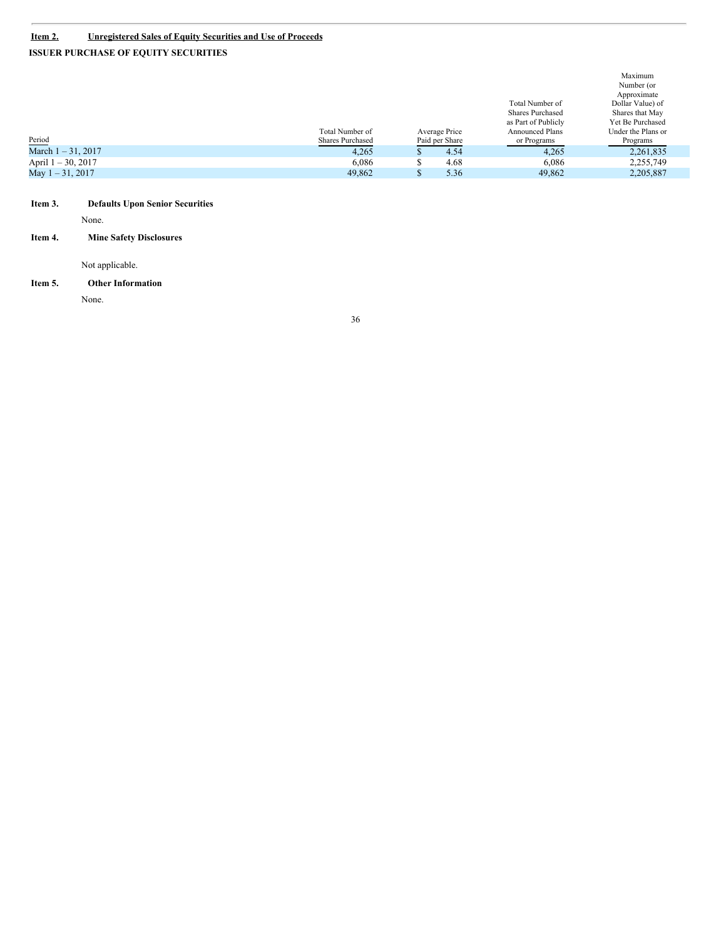# <span id="page-35-0"></span>**Item 2. Unregistered Sales of Equity Securities and Use of Proceeds**

# **ISSUER PURCHASE OF EQUITY SECURITIES**

|                       |                         |                |                         | Maximum            |
|-----------------------|-------------------------|----------------|-------------------------|--------------------|
|                       |                         |                |                         | Number (or         |
|                       |                         |                |                         | Approximate        |
|                       |                         |                | Total Number of         | Dollar Value) of   |
|                       |                         |                | <b>Shares Purchased</b> | Shares that May    |
|                       |                         |                | as Part of Publicly     | Yet Be Purchased   |
|                       | Total Number of         | Average Price  | <b>Announced Plans</b>  | Under the Plans or |
| Period                | <b>Shares Purchased</b> | Paid per Share | or Programs             | Programs           |
| March $1 - 31$ , 2017 | 4,265                   | 4.54<br>۰D     | 4,265                   | 2,261,835          |
| April $1 - 30$ , 2017 | 6,086                   | 4.68           | 6,086                   | 2,255,749          |
| May $1 - 31$ , 2017   | 49.862                  | 5.36           | 49,862                  | 2,205,887          |

<span id="page-35-1"></span>**Item 3. Defaults Upon Senior Securities**

None.

#### <span id="page-35-2"></span>**Item 4. Mine Safety Disclosures**

Not applicable.

### <span id="page-35-3"></span>**Item 5. Other Information**

None.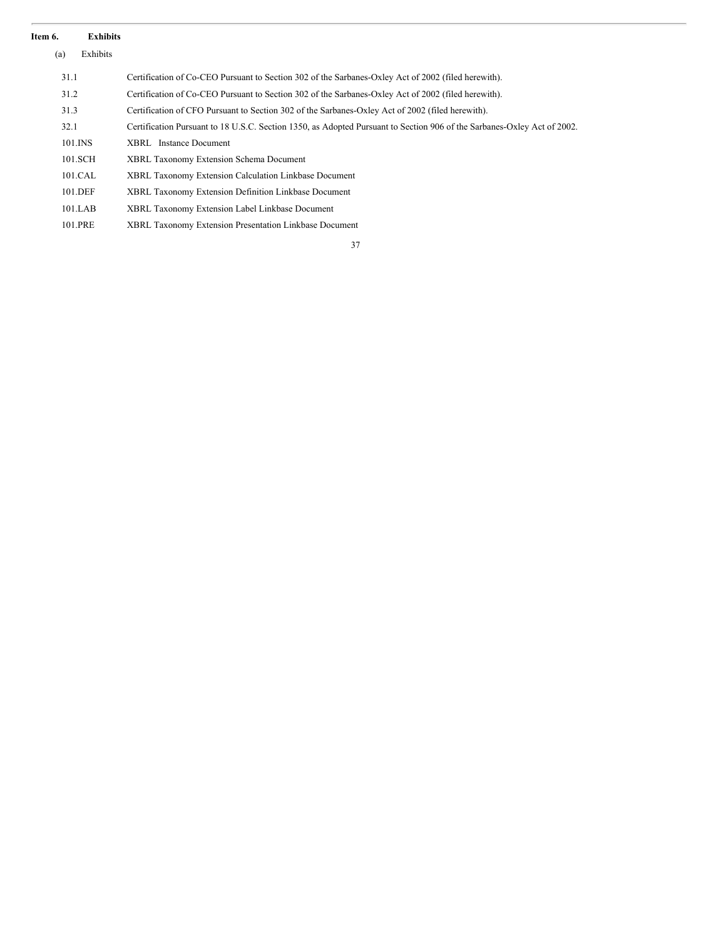<span id="page-36-0"></span>

| Item 6. | <b>Exhibits</b>                                                         |                                                                                                                         |
|---------|-------------------------------------------------------------------------|-------------------------------------------------------------------------------------------------------------------------|
| (a)     | Exhibits                                                                |                                                                                                                         |
| 31.1    |                                                                         | Certification of Co-CEO Pursuant to Section 302 of the Sarbanes-Oxley Act of 2002 (filed herewith).                     |
| 31.2    |                                                                         | Certification of Co-CEO Pursuant to Section 302 of the Sarbanes-Oxley Act of 2002 (filed herewith).                     |
| 31.3    |                                                                         | Certification of CFO Pursuant to Section 302 of the Sarbanes-Oxley Act of 2002 (filed herewith).                        |
| 32.1    |                                                                         | Certification Pursuant to 18 U.S.C. Section 1350, as Adopted Pursuant to Section 906 of the Sarbanes-Oxley Act of 2002. |
|         | 101.INS                                                                 | <b>XBRL</b> Instance Document                                                                                           |
|         | 101.SCH                                                                 | <b>XBRL Taxonomy Extension Schema Document</b>                                                                          |
|         | 101.CAL<br><b>XBRL Taxonomy Extension Calculation Linkbase Document</b> |                                                                                                                         |
|         | 101.DEF<br><b>XBRL Taxonomy Extension Definition Linkbase Document</b>  |                                                                                                                         |
|         | 101.LAB                                                                 | XBRL Taxonomy Extension Label Linkbase Document                                                                         |
|         | 101.PRE                                                                 | <b>XBRL Taxonomy Extension Presentation Linkbase Document</b>                                                           |
|         |                                                                         | 37                                                                                                                      |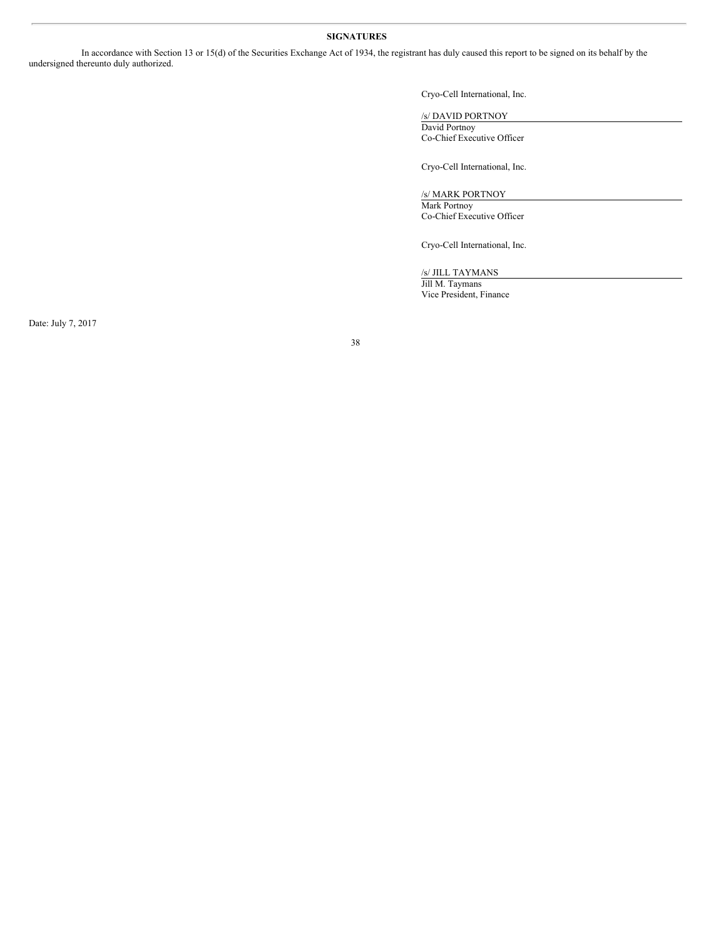## <span id="page-37-0"></span>**SIGNATURES**

In accordance with Section 13 or 15(d) of the Securities Exchange Act of 1934, the registrant has duly caused this report to be signed on its behalf by the undersigned thereunto duly authorized.

Cryo-Cell International, Inc.

## /s/ DAVID PORTNOY

David Portnoy Co-Chief Executive Officer

Cryo-Cell International, Inc.

#### /s/ MARK PORTNOY

Mark Portnoy Co-Chief Executive Officer

Cryo-Cell International, Inc.

/s/ JILL TAYMANS

Jill M. Taymans Vice President, Finance

Date: July 7, 2017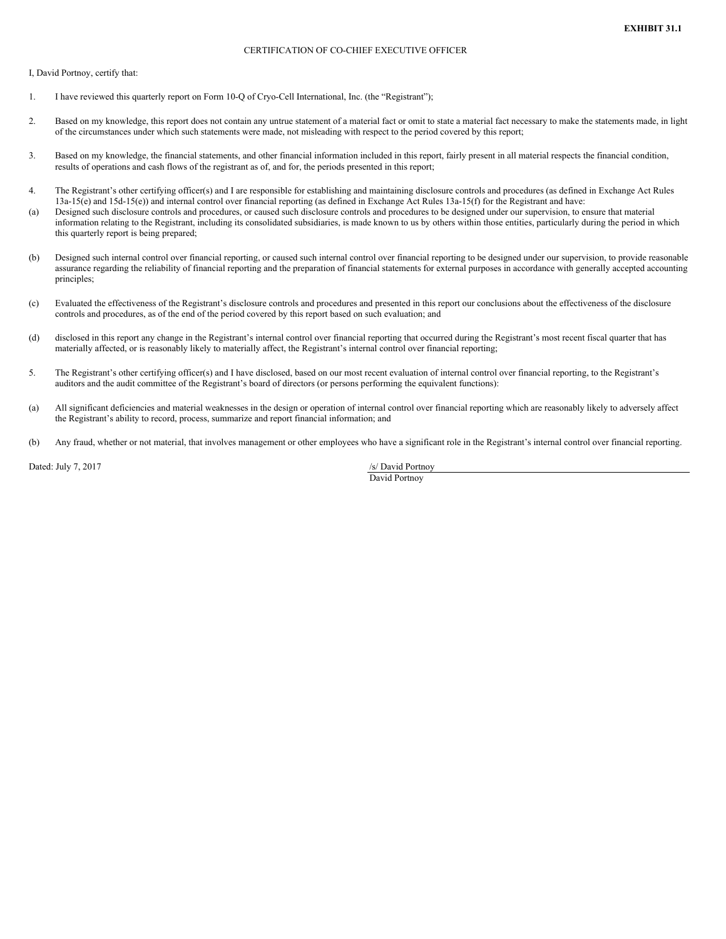#### CERTIFICATION OF CO-CHIEF EXECUTIVE OFFICER

I, David Portnoy, certify that:

- 1. I have reviewed this quarterly report on Form 10-Q of Cryo-Cell International, Inc. (the "Registrant");
- 2. Based on my knowledge, this report does not contain any untrue statement of a material fact or omit to state a material fact necessary to make the statements made, in light of the circumstances under which such statements were made, not misleading with respect to the period covered by this report;
- 3. Based on my knowledge, the financial statements, and other financial information included in this report, fairly present in all material respects the financial condition, results of operations and cash flows of the registrant as of, and for, the periods presented in this report;
- 4. The Registrant's other certifying officer(s) and I are responsible for establishing and maintaining disclosure controls and procedures (as defined in Exchange Act Rules 13a-15(e) and 15d-15(e)) and internal control over financial reporting (as defined in Exchange Act Rules 13a-15(f) for the Registrant and have:
- (a) Designed such disclosure controls and procedures, or caused such disclosure controls and procedures to be designed under our supervision, to ensure that material information relating to the Registrant, including its consolidated subsidiaries, is made known to us by others within those entities, particularly during the period in which this quarterly report is being prepared;
- (b) Designed such internal control over financial reporting, or caused such internal control over financial reporting to be designed under our supervision, to provide reasonable assurance regarding the reliability of financial reporting and the preparation of financial statements for external purposes in accordance with generally accepted accounting principles;
- (c) Evaluated the effectiveness of the Registrant's disclosure controls and procedures and presented in this report our conclusions about the effectiveness of the disclosure controls and procedures, as of the end of the period covered by this report based on such evaluation; and
- (d) disclosed in this report any change in the Registrant's internal control over financial reporting that occurred during the Registrant's most recent fiscal quarter that has materially affected, or is reasonably likely to materially affect, the Registrant's internal control over financial reporting;
- 5. The Registrant's other certifying officer(s) and I have disclosed, based on our most recent evaluation of internal control over financial reporting, to the Registrant's auditors and the audit committee of the Registrant's board of directors (or persons performing the equivalent functions):
- (a) All significant deficiencies and material weaknesses in the design or operation of internal control over financial reporting which are reasonably likely to adversely affect the Registrant's ability to record, process, summarize and report financial information; and
- (b) Any fraud, whether or not material, that involves management or other employees who have a significant role in the Registrant's internal control over financial reporting.

Dated: July 7, 2017 /s/ David Portnoy

David Portnoy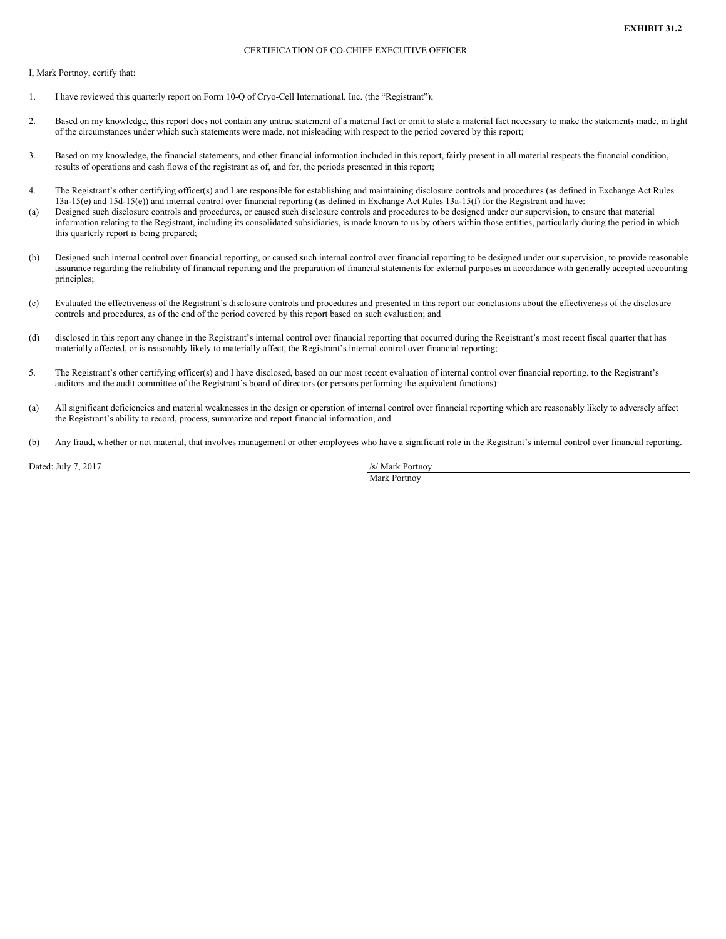#### CERTIFICATION OF CO-CHIEF EXECUTIVE OFFICER

I, Mark Portnoy, certify that:

- 1. I have reviewed this quarterly report on Form 10-Q of Cryo-Cell International, Inc. (the "Registrant");
- 2. Based on my knowledge, this report does not contain any untrue statement of a material fact or omit to state a material fact necessary to make the statements made, in light of the circumstances under which such statements were made, not misleading with respect to the period covered by this report;
- 3. Based on my knowledge, the financial statements, and other financial information included in this report, fairly present in all material respects the financial condition, results of operations and cash flows of the registrant as of, and for, the periods presented in this report;
- 4. The Registrant's other certifying officer(s) and I are responsible for establishing and maintaining disclosure controls and procedures (as defined in Exchange Act Rules 13a-15(e) and 15d-15(e)) and internal control over financial reporting (as defined in Exchange Act Rules 13a-15(f) for the Registrant and have:
- (a) Designed such disclosure controls and procedures, or caused such disclosure controls and procedures to be designed under our supervision, to ensure that material information relating to the Registrant, including its consolidated subsidiaries, is made known to us by others within those entities, particularly during the period in which this quarterly report is being prepared;
- (b) Designed such internal control over financial reporting, or caused such internal control over financial reporting to be designed under our supervision, to provide reasonable assurance regarding the reliability of financial reporting and the preparation of financial statements for external purposes in accordance with generally accepted accounting principles;
- (c) Evaluated the effectiveness of the Registrant's disclosure controls and procedures and presented in this report our conclusions about the effectiveness of the disclosure controls and procedures, as of the end of the period covered by this report based on such evaluation; and
- (d) disclosed in this report any change in the Registrant's internal control over financial reporting that occurred during the Registrant's most recent fiscal quarter that has materially affected, or is reasonably likely to materially affect, the Registrant's internal control over financial reporting;
- 5. The Registrant's other certifying officer(s) and I have disclosed, based on our most recent evaluation of internal control over financial reporting, to the Registrant's auditors and the audit committee of the Registrant's board of directors (or persons performing the equivalent functions):
- (a) All significant deficiencies and material weaknesses in the design or operation of internal control over financial reporting which are reasonably likely to adversely affect the Registrant's ability to record, process, summarize and report financial information; and
- (b) Any fraud, whether or not material, that involves management or other employees who have a significant role in the Registrant's internal control over financial reporting.

Dated: July 7, 2017 /s/ Mark Portnoy

Mark Portnoy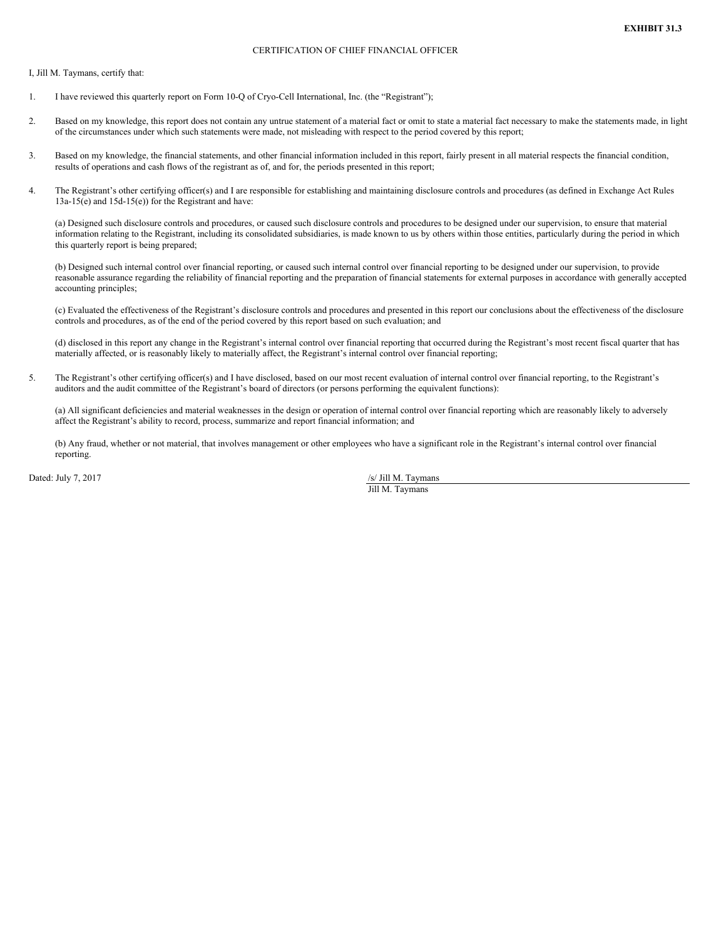#### CERTIFICATION OF CHIEF FINANCIAL OFFICER

I, Jill M. Taymans, certify that:

- 1. I have reviewed this quarterly report on Form 10-Q of Cryo-Cell International, Inc. (the "Registrant");
- 2. Based on my knowledge, this report does not contain any untrue statement of a material fact or omit to state a material fact necessary to make the statements made, in light of the circumstances under which such statements were made, not misleading with respect to the period covered by this report;
- 3. Based on my knowledge, the financial statements, and other financial information included in this report, fairly present in all material respects the financial condition, results of operations and cash flows of the registrant as of, and for, the periods presented in this report;
- 4. The Registrant's other certifying officer(s) and I are responsible for establishing and maintaining disclosure controls and procedures (as defined in Exchange Act Rules 13a-15(e) and 15d-15(e)) for the Registrant and have:

(a) Designed such disclosure controls and procedures, or caused such disclosure controls and procedures to be designed under our supervision, to ensure that material information relating to the Registrant, including its consolidated subsidiaries, is made known to us by others within those entities, particularly during the period in which this quarterly report is being prepared;

(b) Designed such internal control over financial reporting, or caused such internal control over financial reporting to be designed under our supervision, to provide reasonable assurance regarding the reliability of financial reporting and the preparation of financial statements for external purposes in accordance with generally accepted accounting principles;

(c) Evaluated the effectiveness of the Registrant's disclosure controls and procedures and presented in this report our conclusions about the effectiveness of the disclosure controls and procedures, as of the end of the period covered by this report based on such evaluation; and

(d) disclosed in this report any change in the Registrant's internal control over financial reporting that occurred during the Registrant's most recent fiscal quarter that has materially affected, or is reasonably likely to materially affect, the Registrant's internal control over financial reporting;

5. The Registrant's other certifying officer(s) and I have disclosed, based on our most recent evaluation of internal control over financial reporting, to the Registrant's auditors and the audit committee of the Registrant's board of directors (or persons performing the equivalent functions):

(a) All significant deficiencies and material weaknesses in the design or operation of internal control over financial reporting which are reasonably likely to adversely affect the Registrant's ability to record, process, summarize and report financial information; and

(b) Any fraud, whether or not material, that involves management or other employees who have a significant role in the Registrant's internal control over financial reporting.

Dated: July 7, 2017 /s/ Jill M. Taymans

Jill M. Taymans